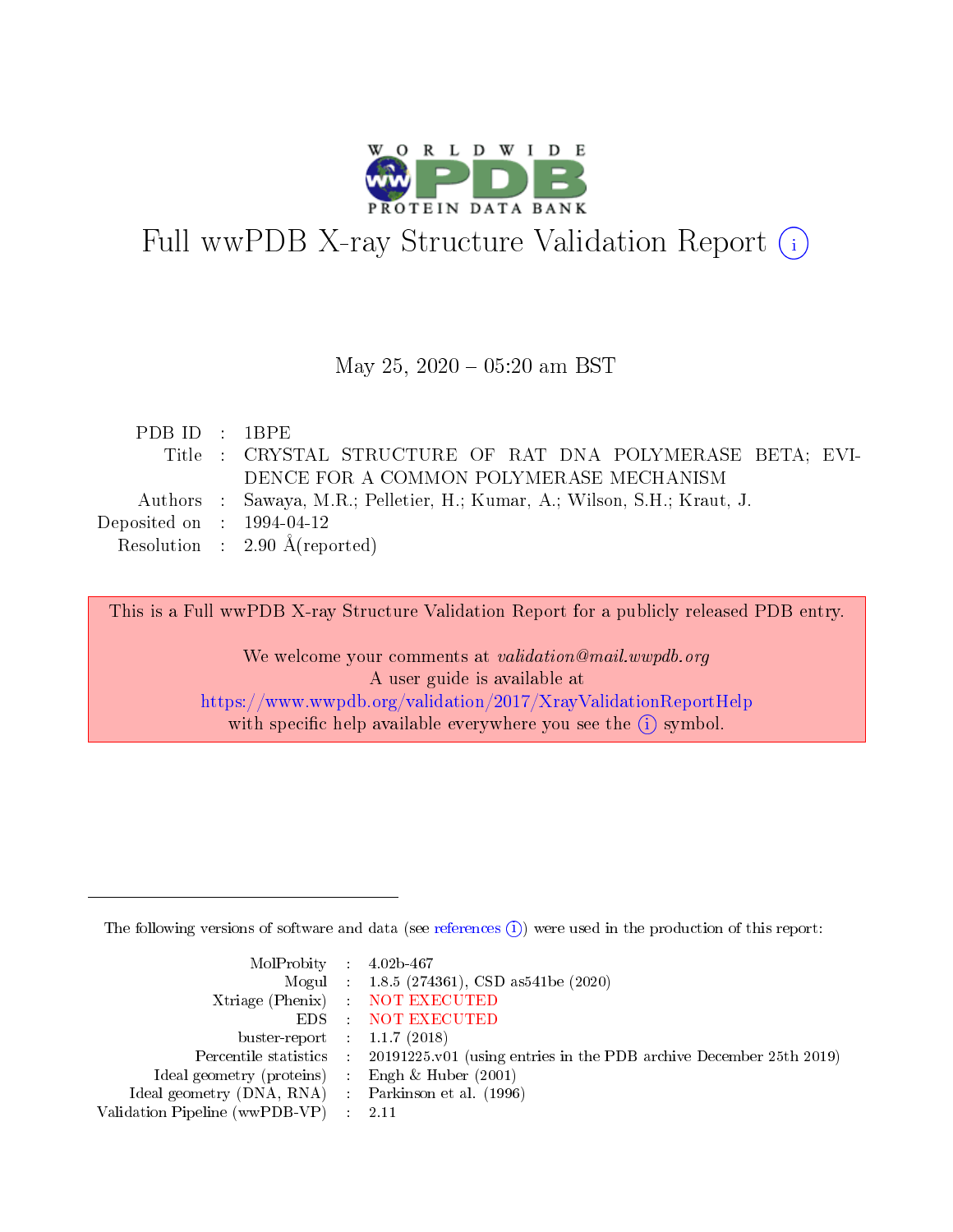

# Full wwPDB X-ray Structure Validation Report (i)

#### May 25,  $2020 - 05:20$  am BST

| PDBID : IBPE                         |                                                                           |
|--------------------------------------|---------------------------------------------------------------------------|
|                                      | Title : CRYSTAL STRUCTURE OF RAT DNA POLYMERASE BETA; EVI-                |
|                                      | DENCE FOR A COMMON POLYMERASE MECHANISM                                   |
|                                      | Authors : Sawaya, M.R.; Pelletier, H.; Kumar, A.; Wilson, S.H.; Kraut, J. |
| Deposited on $\therefore$ 1994-04-12 |                                                                           |
|                                      | Resolution : $2.90 \text{ Å}$ (reported)                                  |

This is a Full wwPDB X-ray Structure Validation Report for a publicly released PDB entry.

We welcome your comments at validation@mail.wwpdb.org A user guide is available at <https://www.wwpdb.org/validation/2017/XrayValidationReportHelp> with specific help available everywhere you see the  $(i)$  symbol.

The following versions of software and data (see [references](https://www.wwpdb.org/validation/2017/XrayValidationReportHelp#references)  $(i)$ ) were used in the production of this report:

| MolProbity : $4.02b-467$                            |                                                                                            |
|-----------------------------------------------------|--------------------------------------------------------------------------------------------|
|                                                     | Mogul : $1.8.5$ (274361), CSD as 541be (2020)                                              |
|                                                     | Xtriage (Phenix) NOT EXECUTED                                                              |
|                                                     | EDS : NOT EXECUTED                                                                         |
| buster-report : $1.1.7(2018)$                       |                                                                                            |
|                                                     | Percentile statistics : 20191225.v01 (using entries in the PDB archive December 25th 2019) |
| Ideal geometry (proteins) : Engh $\&$ Huber (2001)  |                                                                                            |
| Ideal geometry (DNA, RNA) : Parkinson et al. (1996) |                                                                                            |
| Validation Pipeline (wwPDB-VP) : 2.11               |                                                                                            |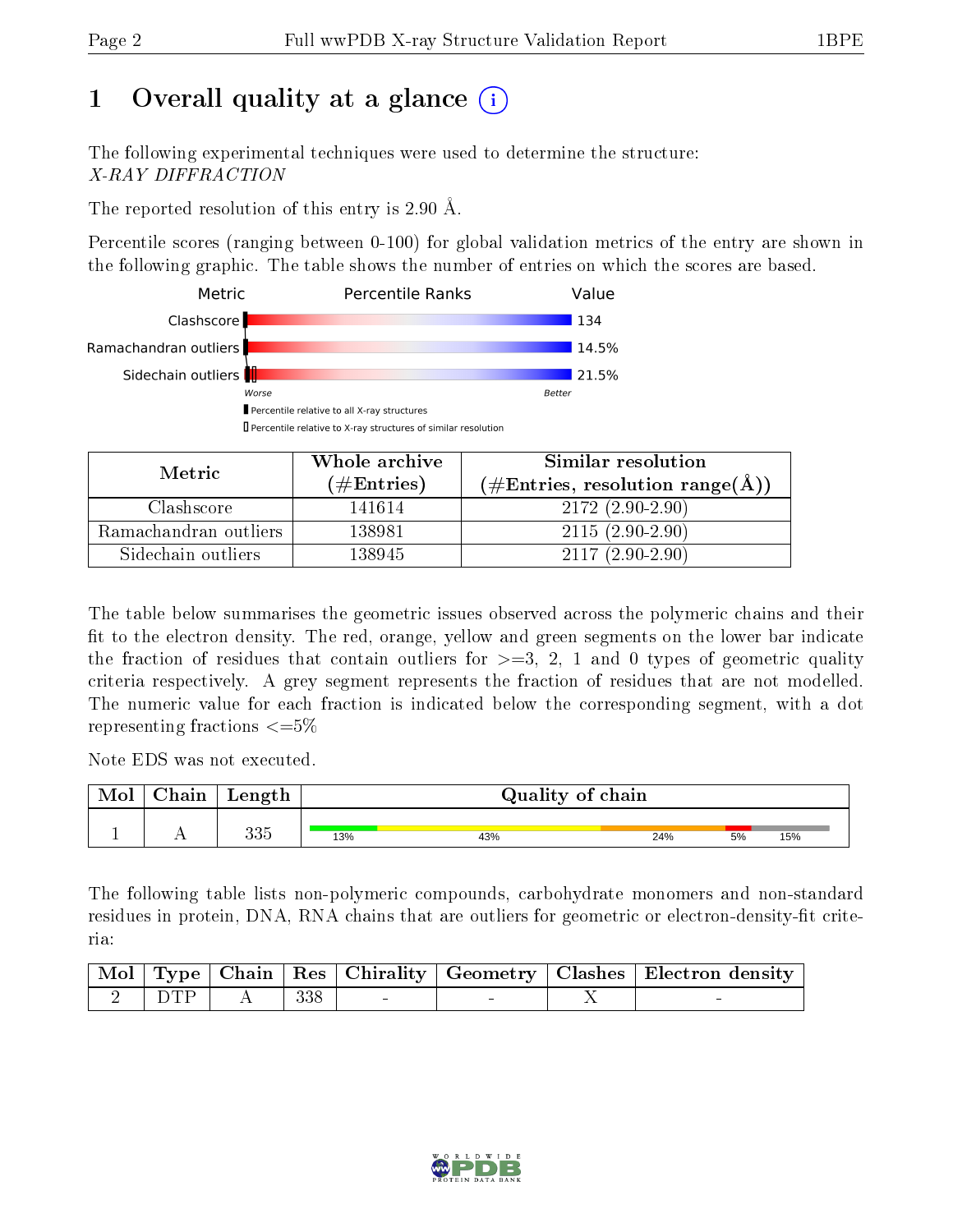# 1 [O](https://www.wwpdb.org/validation/2017/XrayValidationReportHelp#overall_quality)verall quality at a glance (i)

The following experimental techniques were used to determine the structure: X-RAY DIFFRACTION

The reported resolution of this entry is 2.90 Å.

Percentile scores (ranging between 0-100) for global validation metrics of the entry are shown in the following graphic. The table shows the number of entries on which the scores are based.



| Metric                | Whole archive        | Similar resolution                                           |
|-----------------------|----------------------|--------------------------------------------------------------|
|                       | $(\#\text{Entries})$ | $(\#\text{Entries}, \text{resolution range}(\textup{\AA})\)$ |
| Clashscore            | 141614               | $2172(2.90-2.90)$                                            |
| Ramachandran outliers | 138981               | $2115(2.90-2.90)$                                            |
| Sidechain outliers    | 138945               | $2117(2.90-2.90)$                                            |

The table below summarises the geometric issues observed across the polymeric chains and their fit to the electron density. The red, orange, yellow and green segments on the lower bar indicate the fraction of residues that contain outliers for  $\geq=3$ , 2, 1 and 0 types of geometric quality criteria respectively. A grey segment represents the fraction of residues that are not modelled. The numeric value for each fraction is indicated below the corresponding segment, with a dot representing fractions  $\epsilon = 5\%$ 

Note EDS was not executed.

| Mol | $\gamma$ hain | Length     | Quality of chain |     |     |    |     |  |  |
|-----|---------------|------------|------------------|-----|-----|----|-----|--|--|
|     | . .           | へへと<br>ບບບ | 13%              | 43% | 24% | 5% | 15% |  |  |

The following table lists non-polymeric compounds, carbohydrate monomers and non-standard residues in protein, DNA, RNA chains that are outliers for geometric or electron-density-fit criteria:

|              |   |     |  | Mol   Type   Chain   Res   Chirality   Geometry   Clashes   Electron density |
|--------------|---|-----|--|------------------------------------------------------------------------------|
| $2 \mid DTP$ | A | 338 |  |                                                                              |

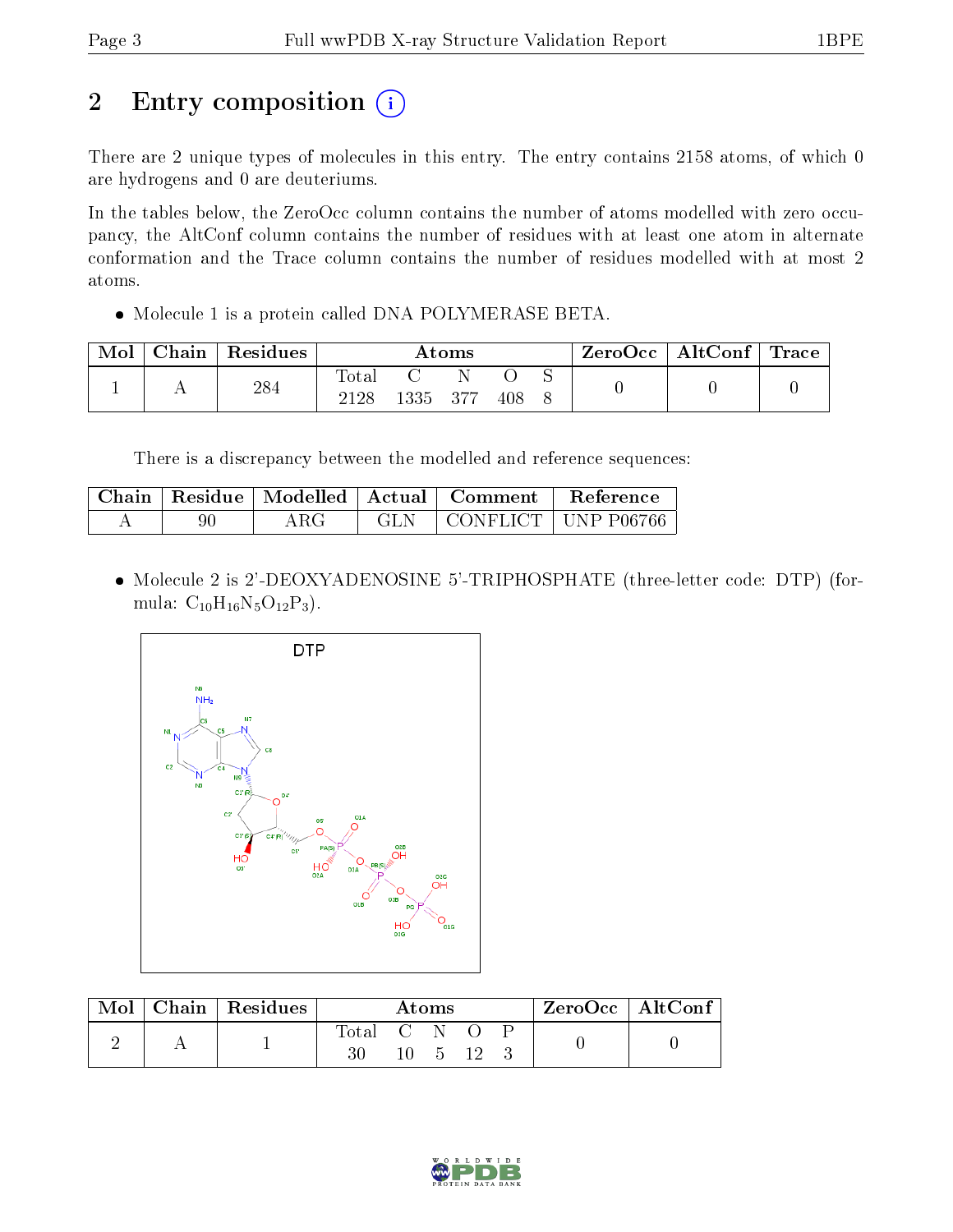# 2 Entry composition (i)

There are 2 unique types of molecules in this entry. The entry contains 2158 atoms, of which 0 are hydrogens and 0 are deuteriums.

In the tables below, the ZeroOcc column contains the number of atoms modelled with zero occupancy, the AltConf column contains the number of residues with at least one atom in alternate conformation and the Trace column contains the number of residues modelled with at most 2 atoms.

Molecule 1 is a protein called DNA POLYMERASE BETA.

| Mol | Chain | Residues | Atoms       |     |     | $\text{ZeroOcc} \mid \text{AltConf} \mid \text{Trace}$ |  |  |  |
|-----|-------|----------|-------------|-----|-----|--------------------------------------------------------|--|--|--|
|     |       | 284      | $\rm Total$ |     |     |                                                        |  |  |  |
|     |       | 2128     | 1335        | 377 | 408 |                                                        |  |  |  |

There is a discrepancy between the modelled and reference sequences:

|    |             | Chain   Residue   Modelled   Actual   Comment | Reference             |
|----|-------------|-----------------------------------------------|-----------------------|
| 90 | ${\rm ARG}$ |                                               | CONFLICT   UNP P06766 |

• Molecule 2 is 2'-DEOXYADENOSINE 5'-TRIPHOSPHATE (three-letter code: DTP) (formula:  $C_{10}H_{16}N_5O_{12}P_3$ .



| Mol | Chain   Residues | Atoms       |  |         |  | $ZeroOcc \mid AltConf \mid$ |  |
|-----|------------------|-------------|--|---------|--|-----------------------------|--|
|     |                  | Total C N O |  |         |  |                             |  |
|     |                  |             |  | 10 5 12 |  |                             |  |

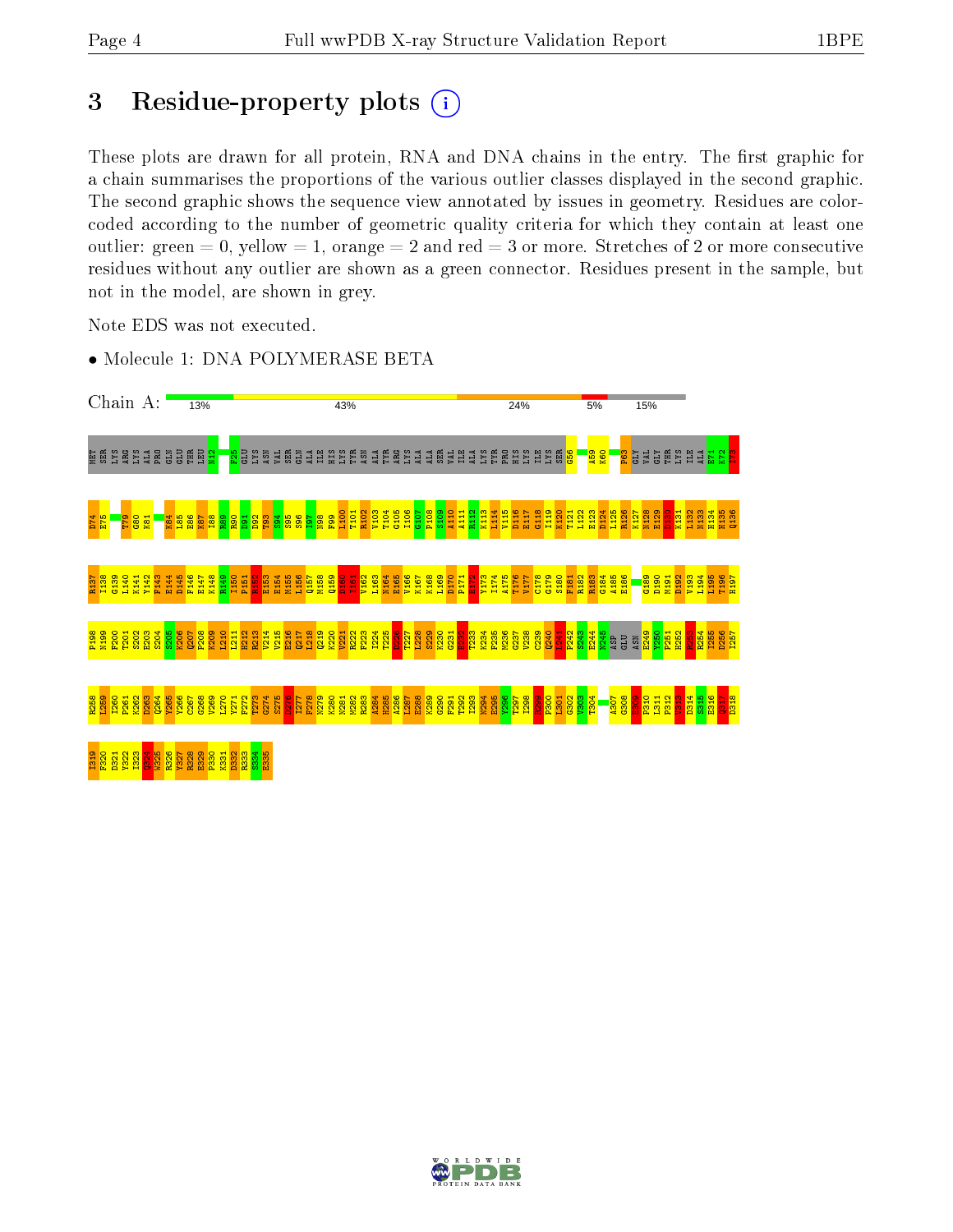## 3 Residue-property plots (i)

These plots are drawn for all protein, RNA and DNA chains in the entry. The first graphic for a chain summarises the proportions of the various outlier classes displayed in the second graphic. The second graphic shows the sequence view annotated by issues in geometry. Residues are colorcoded according to the number of geometric quality criteria for which they contain at least one outlier: green  $= 0$ , yellow  $= 1$ , orange  $= 2$  and red  $= 3$  or more. Stretches of 2 or more consecutive residues without any outlier are shown as a green connector. Residues present in the sample, but not in the model, are shown in grey.

Note EDS was not executed.

• Molecule 1: DNA POLYMERASE BETA



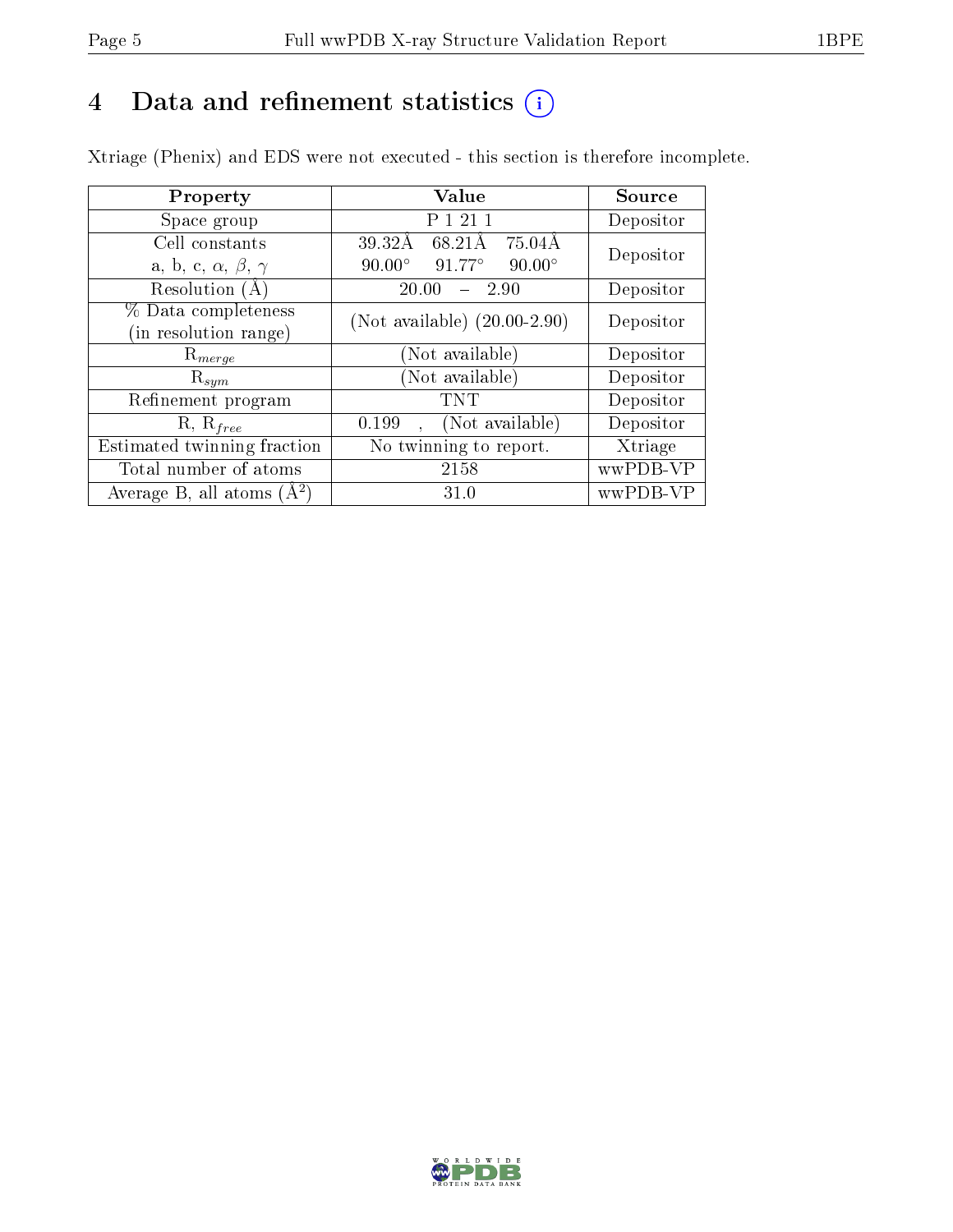# 4 Data and refinement statistics  $(i)$

Xtriage (Phenix) and EDS were not executed - this section is therefore incomplete.

| Property                               | <b>Value</b>                               | Source    |  |
|----------------------------------------|--------------------------------------------|-----------|--|
| Space group                            | 1 2 1 1                                    | Depositor |  |
| Cell constants                         | 39.32Å<br>68.21Å<br>$75.04\text{\AA}$      | Depositor |  |
| a, b, c, $\alpha$ , $\beta$ , $\gamma$ | 91.77°<br>$90.00^\circ$<br>$90.00^\circ$   |           |  |
| Resolution $(A)$                       | 20.00<br>-2.90                             | Depositor |  |
| % Data completeness                    | (Not available) $(20.00-2.90)$             | Depositor |  |
| (in resolution range)                  |                                            |           |  |
| $\mathrm{R}_{merge}$                   | (Not available)                            | Depositor |  |
| $\mathrm{R}_{sym}$                     | (Not available)                            | Depositor |  |
| Refinement program                     | <b>TNT</b>                                 | Depositor |  |
| $R, R_{free}$                          | (Not available)<br>0.199                   | Depositor |  |
| Estimated twinning fraction            | $\overline{\text{No}}$ twinning to report. | Xtriage   |  |
| Total number of atoms                  | 2158                                       | wwPDB-VP  |  |
| Average B, all atoms $(A^2)$           | 31.0                                       | wwPDB-VP  |  |

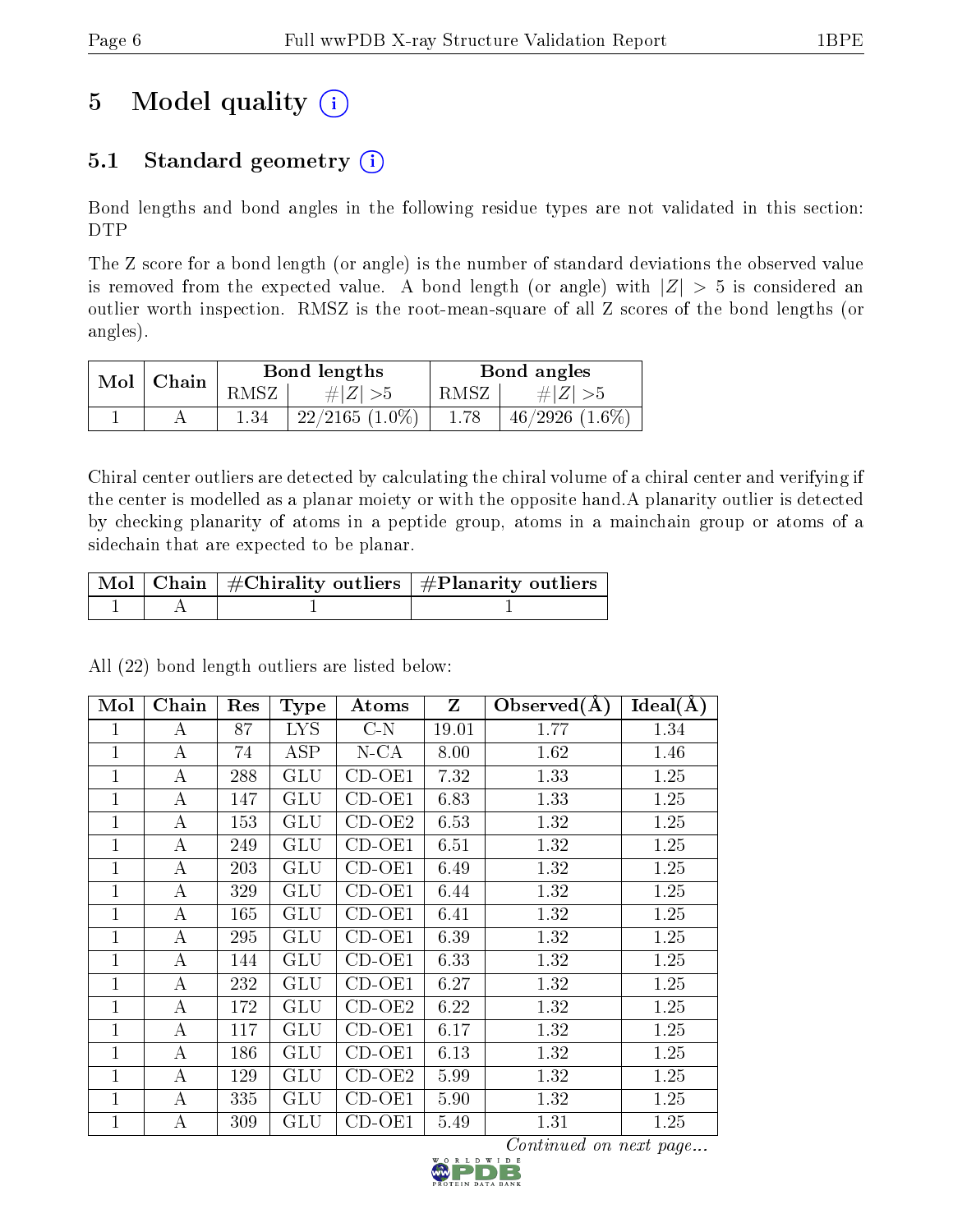# 5 Model quality  $(i)$

## 5.1 Standard geometry  $(i)$

Bond lengths and bond angles in the following residue types are not validated in this section: DTP

The Z score for a bond length (or angle) is the number of standard deviations the observed value is removed from the expected value. A bond length (or angle) with  $|Z| > 5$  is considered an outlier worth inspection. RMSZ is the root-mean-square of all Z scores of the bond lengths (or angles).

| $Mol$   Chain |      | Bond lengths        | Bond angles |                     |  |
|---------------|------|---------------------|-------------|---------------------|--|
|               | RMSZ | $\# Z  > 5$         | RMSZ        | # $ Z  > 5$         |  |
|               | 1.34 | $22/2165$ $(1.0\%)$ | 1.78        | $46/2926$ $(1.6\%)$ |  |

Chiral center outliers are detected by calculating the chiral volume of a chiral center and verifying if the center is modelled as a planar moiety or with the opposite hand.A planarity outlier is detected by checking planarity of atoms in a peptide group, atoms in a mainchain group or atoms of a sidechain that are expected to be planar.

|  | $\mid$ Mol $\mid$ Chain $\mid$ #Chirality outliers $\mid$ #Planarity outliers $\mid$ |
|--|--------------------------------------------------------------------------------------|
|  |                                                                                      |

| Mol            | Chain    | Res | <b>Type</b>          | Atoms                | $\mathbf{Z}$ | Observed $(A)$ | Ideal(A) |
|----------------|----------|-----|----------------------|----------------------|--------------|----------------|----------|
| 1              | А        | 87  | <b>LYS</b>           | $C-N$                | 19.01        | 1.77           | 1.34     |
| 1              | $\bf{A}$ | 74  | <b>ASP</b>           | $N$ -CA              | 8.00         | 1.62           | 1.46     |
| $\mathbf 1$    | A        | 288 | GLU                  | $\overline{CD}$ -OE1 | 7.32         | 1.33           | 1.25     |
| 1              | A        | 147 | GLU                  | $CD-OE1$             | 6.83         | 1.33           | 1.25     |
| 1              | А        | 153 | GLU                  | $CD-OE2$             | 6.53         | 1.32           | 1.25     |
| 1              | А        | 249 | GLU                  | $CD-OE1$             | 6.51         | 1.32           | 1.25     |
| 1              | А        | 203 | GLU                  | $CD-OE1$             | 6.49         | 1.32           | 1.25     |
| 1              | А        | 329 | $\operatorname{GLU}$ | $CD-OE1$             | 6.44         | 1.32           | 1.25     |
| 1              | А        | 165 | GLU                  | $CD-OE1$             | 6.41         | 1.32           | 1.25     |
| 1              | А        | 295 | GLU                  | $CD-OE1$             | 6.39         | 1.32           | 1.25     |
| 1              | А        | 144 | GLU                  | $CD-OE1$             | 6.33         | 1.32           | 1.25     |
| $\overline{1}$ | А        | 232 | GLU                  | $CD-OE1$             | 6.27         | 1.32           | 1.25     |
| $\mathbf 1$    | А        | 172 | $_{\rm GLU}$         | $CD-OE2$             | 6.22         | 1.32           | 1.25     |
| $\overline{1}$ | А        | 117 | $\operatorname{GLU}$ | $CD-OE1$             | 6.17         | 1.32           | 1.25     |
| $\overline{1}$ | А        | 186 | $\operatorname{GLU}$ | $CD-OE1$             | 6.13         | 1.32           | 1.25     |
| 1              | А        | 129 | ${\rm GLU}$          | $CD-OE2$             | 5.99         | 1.32           | 1.25     |
| 1              | А        | 335 | $\operatorname{GLU}$ | $CD-OE1$             | 5.90         | 1.32           | 1.25     |
| 1              | А        | 309 | $\operatorname{GLU}$ | CD-OE1               | 5.49         | 1.31           | 1.25     |

All (22) bond length outliers are listed below:

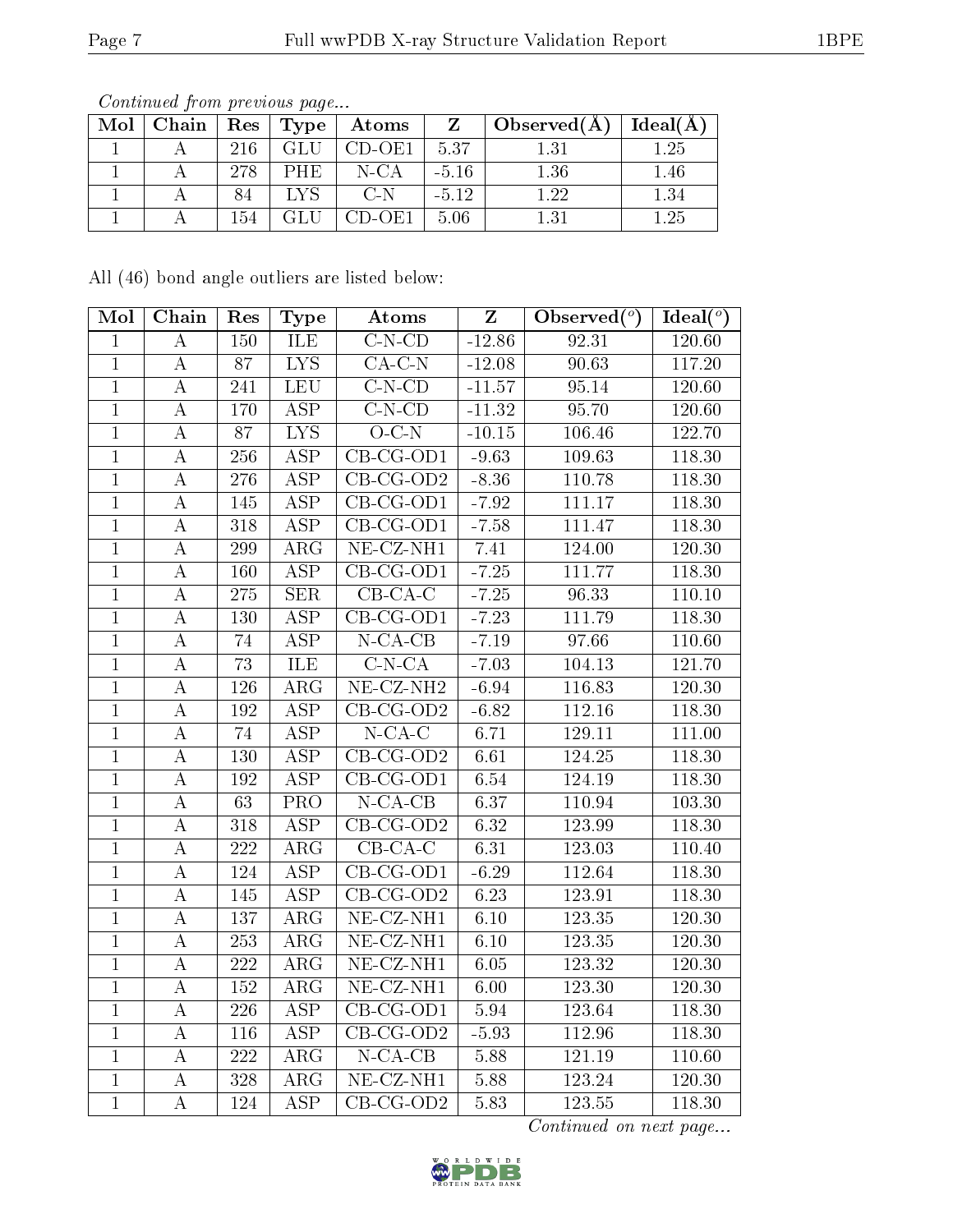|  |     |     | Mol   Chain   Res   Type   Atoms | Z      | $\pm$ Observed(A) <sup><math>\pm</math></sup> | $\perp$ Ideal(A) |
|--|-----|-----|----------------------------------|--------|-----------------------------------------------|------------------|
|  | 216 | GLU | CD-OE1                           | 1,5.37 |                                               | - 25             |
|  | 278 | PHE | $N$ -CA                          | -5 16  | 1.36                                          | 1.46             |
|  |     |     | C N                              | $-512$ | 1.22                                          | 1.34             |
|  | 154 |     | $CD-OE1$                         | - 5.06 | 131                                           | 1.25             |

All (46) bond angle outliers are listed below:

| Mol            | Chain              | Res              | <b>Type</b>             | Atoms                          | $\mathbf{Z}$ | Observed $(°)$ | Ideal $(°)$ |
|----------------|--------------------|------------------|-------------------------|--------------------------------|--------------|----------------|-------------|
| $\mathbf{1}$   | A                  | 150              | ILE                     | $C-N$ - $CD$                   | $-12.86$     | 92.31          | 120.60      |
| $\overline{1}$ | А                  | $\overline{87}$  | $\overline{\text{LYS}}$ | $\overline{CA-C-N}$            | $-12.08$     | 90.63          | 117.20      |
| $\mathbf{1}$   | $\rm A$            | 241              | <b>LEU</b>              | $C-N$ - $CD$                   | $-11.57$     | 95.14          | 120.60      |
| $\overline{1}$ | $\rm \bar{A}$      | 170              | $\overline{\text{ASP}}$ | $C-N$ - $CD$                   | $-11.32$     | 95.70          | 120.60      |
| $\overline{1}$ | A                  | 87               | $\overline{\text{LYS}}$ | $O-C-N$                        | $-10.15$     | 106.46         | 122.70      |
| $\overline{1}$ | $\boldsymbol{A}$   | $\overline{256}$ | $\overline{\text{ASP}}$ | $CB-CG-OD1$                    | $-9.63$      | 109.63         | 118.30      |
| $\mathbf{1}$   | А                  | 276              | $\overline{\text{ASP}}$ | $CB-CG-OD2$                    | $-8.36$      | 110.78         | 118.30      |
| $\overline{1}$ | $\boldsymbol{A}$   | 145              | <b>ASP</b>              | $CB-CG-OD1$                    | $-7.92$      | 111.17         | 118.30      |
| $\mathbf{1}$   | А                  | 318              | $\overline{\text{ASP}}$ | $CB-CG-OD1$                    | $-7.58$      | 111.47         | 118.30      |
| $\overline{1}$ | $\boldsymbol{A}$   | 299              | $\rm{ARG}$              | $NE$ -CZ-NH1                   | 7.41         | 124.00         | 120.30      |
| $\mathbf{1}$   | А                  | 160              | <b>ASP</b>              | $\overline{\text{CB}}$ -CG-OD1 | $-7.25$      | 111.77         | 118.30      |
| $\overline{1}$ | $\boldsymbol{A}$   | $\overline{275}$ | SER                     | $CB-CA-C$                      | $-7.25$      | 96.33          | 110.10      |
| $\mathbf{1}$   | А                  | 130              | $\overline{\text{ASP}}$ | $\overline{\text{CB-CG-OD1}}$  | $-7.23$      | 111.79         | 118.30      |
| $\overline{1}$ | $\overline{A}$     | 74               | $\overline{\text{ASP}}$ | $N$ -CA-CB                     | $-7.19$      | 97.66          | 110.60      |
| $\mathbf{1}$   | $\boldsymbol{A}$   | $\overline{73}$  | ILE                     | $C-N-CA$                       | $-7.03$      | 104.13         | 121.70      |
| $\mathbf{1}$   | A                  | 126              | $\rm{ARG}$              | $NE-CZ-NH2$                    | $-6.94$      | 116.83         | 120.30      |
| $\mathbf{1}$   | $\boldsymbol{A}$   | 192              | $\overline{\text{ASP}}$ | $CB-CG-OD2$                    | $-6.82$      | 112.16         | 118.30      |
| $\mathbf{1}$   | $\boldsymbol{A}$   | 74               | ASP                     | $N$ -CA-C                      | 6.71         | 129.11         | 111.00      |
| $\mathbf{1}$   | $\boldsymbol{A}$   | 130              | $\overline{\text{ASP}}$ | $CB-CG-OD2$                    | 6.61         | 124.25         | 118.30      |
| $\mathbf 1$    | $\boldsymbol{A}$   | 192              | <b>ASP</b>              | $CB-CG-OD1$                    | 6.54         | 124.19         | 118.30      |
| $\mathbf{1}$   | $\overline{\rm A}$ | $\overline{63}$  | $\overline{\text{PRO}}$ | $N$ -CA-CB                     | 6.37         | 110.94         | 103.30      |
| $\mathbf{1}$   | $\boldsymbol{A}$   | 318              | $\overline{\text{ASP}}$ | CB-CG-OD2                      | 6.32         | 123.99         | 118.30      |
| $\overline{1}$ | А                  | 222              | $\rm{ARG}$              | $\overline{CB}$ -CA-C          | 6.31         | 123.03         | 110.40      |
| $\overline{1}$ | A                  | 124              | $\overline{\text{ASP}}$ | $CB-CG-OD1$                    | $-6.29$      | 112.64         | 118.30      |
| $\overline{1}$ | $\boldsymbol{A}$   | 145              | $\overline{\text{ASP}}$ | $\overline{CB-CG\text{-}OD2}$  | 6.23         | 123.91         | 118.30      |
| $\mathbf{1}$   | A                  | 137              | $\overline{\text{ARG}}$ | $NE- CZ-NH1$                   | 6.10         | 123.35         | 120.30      |
| $\overline{1}$ | $\overline{A}$     | 253              | $\overline{\rm ARG}$    | $NE$ $CZ$ - $NH1$              | 6.10         | 123.35         | 120.30      |
| $\mathbf{1}$   | $\boldsymbol{A}$   | 222              | $\rm{ARG}$              | $NE$ -CZ-NH1                   | $6.05\,$     | 123.32         | 120.30      |
| $\overline{1}$ | $\overline{A}$     | 152              | $\overline{\text{ARG}}$ | $NE$ - $CZ$ - $NH1$            | 6.00         | 123.30         | 120.30      |
| $\mathbf{1}$   | $\boldsymbol{A}$   | 226              | <b>ASP</b>              | $CB-CG-OD1$                    | 5.94         | 123.64         | 118.30      |
| $\overline{1}$ | $\rm A$            | 116              | $\overline{\text{ASP}}$ | $CB-CG-OD2$                    | $-5.93$      | 112.96         | 118.30      |
| $\mathbf{1}$   | $\rm A$            | 222              | $\rm{ARG}$              | $N$ -CA-CB                     | $5.88\,$     | 121.19         | 110.60      |
| $\mathbf{1}$   | A                  | 328              | $\rm{ARG}$              | $NE- CZ-NH1$                   | 5.88         | 123.24         | 120.30      |
| $\overline{1}$ | $\bf{A}$           | 124              | <b>ASP</b>              | $CB-CG-OD2$                    | 5.83         | 123.55         | 118.30      |

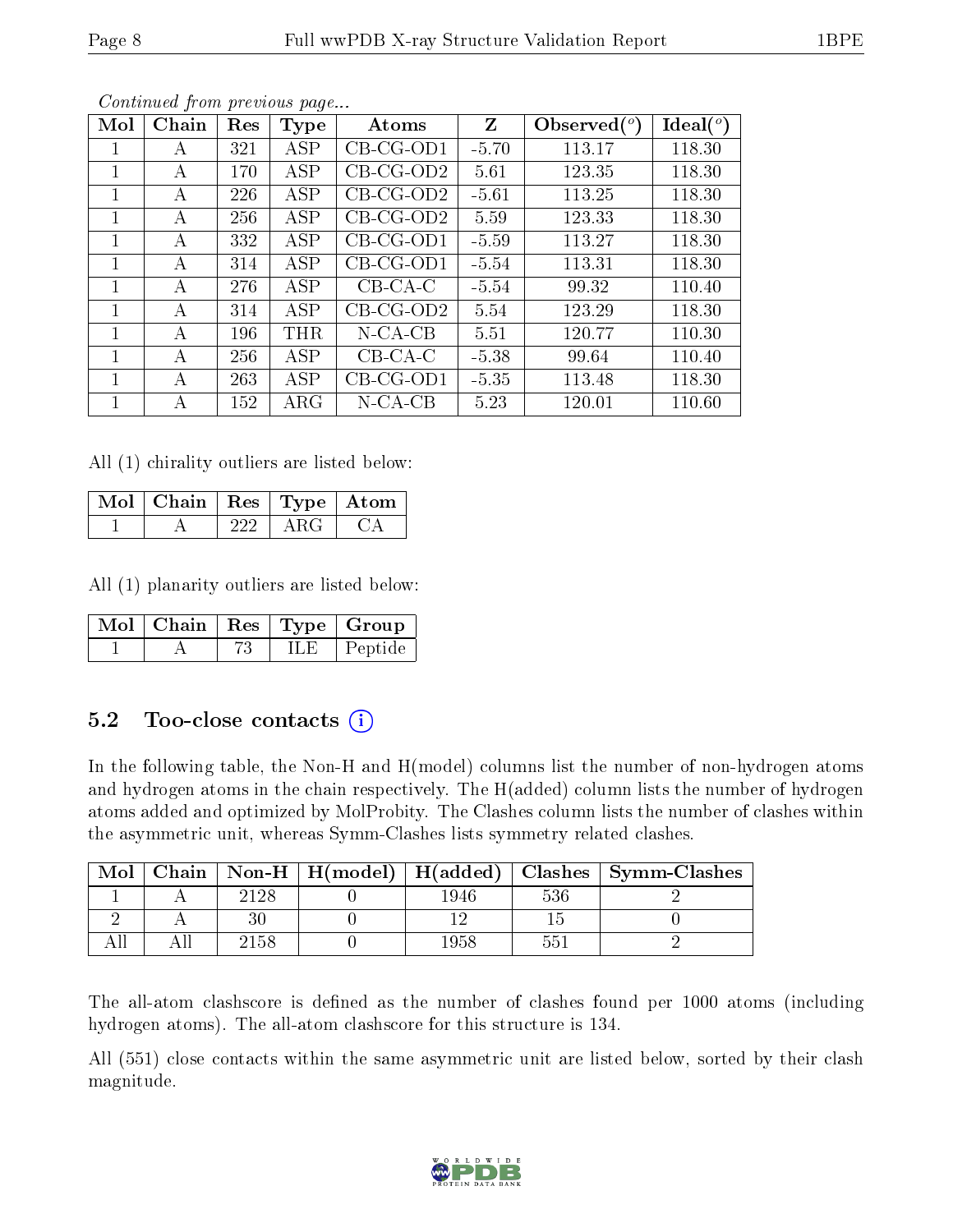| Mol | Chain | Res | Type       | Atoms       | Z       | Observed $(°)$ | Ideal $(°)$ |
|-----|-------|-----|------------|-------------|---------|----------------|-------------|
|     | А     | 321 | <b>ASP</b> | $CB-CG-OD1$ | $-5.70$ | 113.17         | 118.30      |
| 1   | А     | 170 | ASP        | $CB-CG-OD2$ | 5.61    | 123.35         | 118.30      |
|     | А     | 226 | ASP        | $CB-CG-OD2$ | $-5.61$ | 113.25         | 118.30      |
| 1   | А     | 256 | ASP        | $CB-CG-OD2$ | 5.59    | 123.33         | 118.30      |
|     | А     | 332 | ASP        | $CB-CG-OD1$ | $-5.59$ | 113.27         | 118.30      |
| 1   | А     | 314 | ASP        | $CB-CG-OD1$ | $-5.54$ | 113.31         | 118.30      |
|     | А     | 276 | ASP        | $CB-CA-C$   | $-5.54$ | 99.32          | 110.40      |
|     | А     | 314 | ASP        | $CB-CG-OD2$ | 5.54    | 123.29         | 118.30      |
|     | А     | 196 | THR        | $N$ -CA-CB  | 5.51    | 120.77         | 110.30      |
|     | А     | 256 | ASP        | $CB-CA-C$   | $-5.38$ | 99.64          | 110.40      |
| 1   | А     | 263 | ASP        | $CB-CG-OD1$ | $-5.35$ | 113.48         | 118.30      |
|     | А     | 152 | $\rm{ARG}$ | $N$ -CA-CB  | 5.23    | 120.01         | 110.60      |

All (1) chirality outliers are listed below:

| Mol   Chain   Res   Type   Atom |  |  |
|---------------------------------|--|--|
|                                 |  |  |

All (1) planarity outliers are listed below:

|  |      | $\lceil \, \overline{\text{Mol}} \, \rceil$ Chain $\mid \text{Res} \mid \text{Type} \mid \text{Group} \mid$ |
|--|------|-------------------------------------------------------------------------------------------------------------|
|  | ILE. | <sup>†</sup> Peptide                                                                                        |

### 5.2 Too-close contacts (i)

In the following table, the Non-H and H(model) columns list the number of non-hydrogen atoms and hydrogen atoms in the chain respectively. The H(added) column lists the number of hydrogen atoms added and optimized by MolProbity. The Clashes column lists the number of clashes within the asymmetric unit, whereas Symm-Clashes lists symmetry related clashes.

| Mol |      |      |     | Chain   Non-H   H(model)   H(added)   Clashes   Symm-Clashes |
|-----|------|------|-----|--------------------------------------------------------------|
|     | 2128 | 1946 | 536 |                                                              |
|     |      |      |     |                                                              |
|     | 2158 | 1958 | 551 |                                                              |

The all-atom clashscore is defined as the number of clashes found per 1000 atoms (including hydrogen atoms). The all-atom clashscore for this structure is 134.

All (551) close contacts within the same asymmetric unit are listed below, sorted by their clash magnitude.

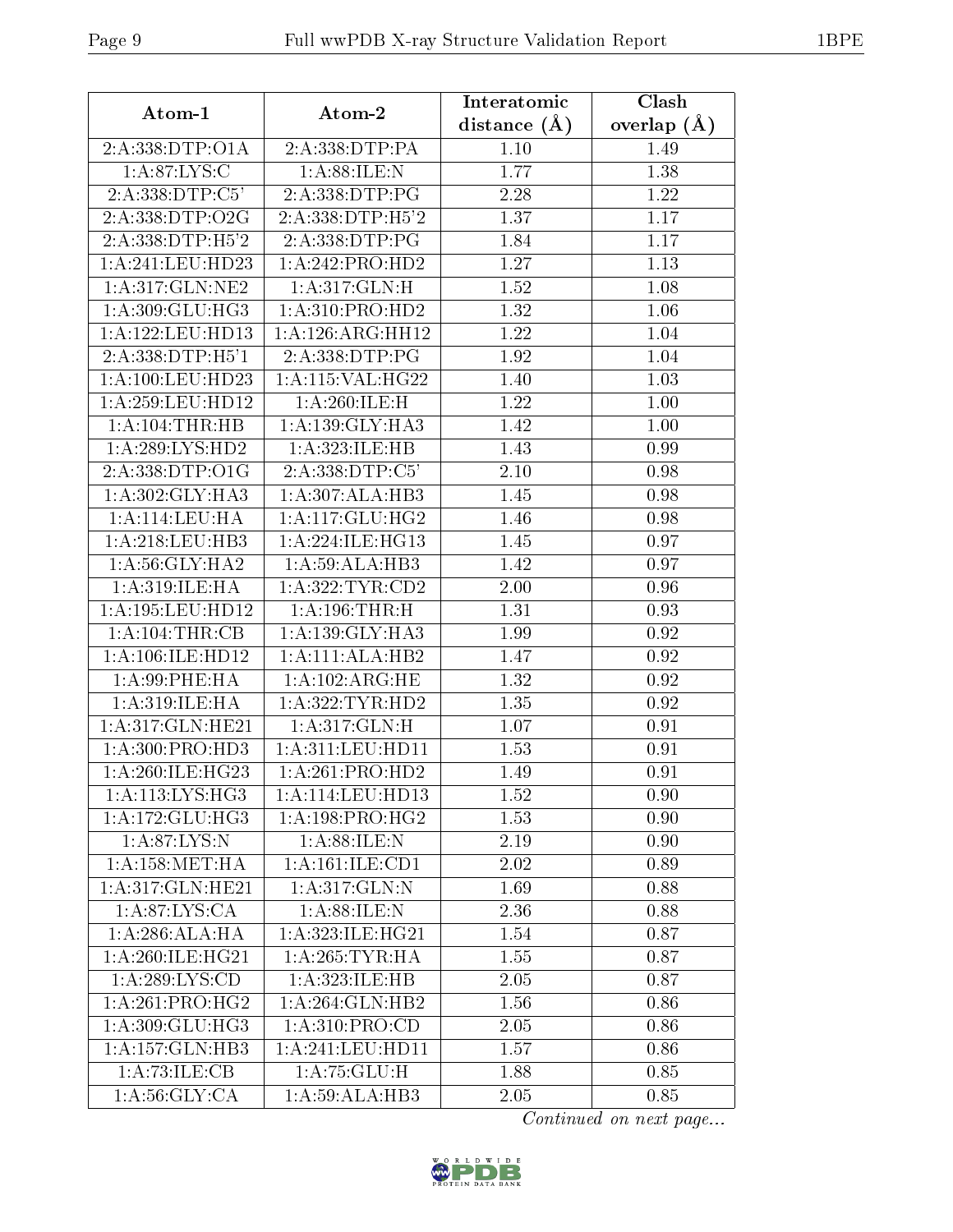| Atom-1               | Atom-2              | Interatomic      | Clash             |
|----------------------|---------------------|------------------|-------------------|
|                      |                     | distance $(\AA)$ | overlap $(A)$     |
| 2:A:338:DTP:O1A      | 2:A:338:DTP:PA      | 1.10             | 1.49              |
| 1: A:87: LYS: C      | 1: A:88: ILE:N      | 1.77             | 1.38              |
| 2:A:338:DTP:C5'      | 2:A:338:DTP:PG      | 2.28             | 1.22              |
| 2:A:338:DTP:O2G      | 2:A:338:DTP:H5'2    | 1.37             | 1.17              |
| 2: A: 338: DTP: H5'2 | 2:A:338:DTP:PG      | 1.84             | 1.17              |
| 1:A:241:LEU:HD23     | 1:A:242:PRO:HD2     | 1.27             | 1.13              |
| 1: A:317: GLN: NE2   | 1:A:317:GLN:H       | 1.52             | 1.08              |
| 1:A:309:GLU:HG3      | 1: A:310: PRO:HD2   | 1.32             | 1.06              |
| 1: A: 122: LEU: HD13 | 1:A:126:ARG:HH12    | 1.22             | 1.04              |
| 2:A:338:DTP:H5'1     | 2:A:338:DTP:PG      | 1.92             | 1.04              |
| $1: A:100:$ LEU:HD23 | 1:A:115:VAL:HG22    | 1.40             | 1.03              |
| 1: A:259:LEU:HD12    | 1:A:260:ILE:H       | 1.22             | 1.00              |
| 1:A:104:THR:HB       | 1:A:139:GLY:HA3     | 1.42             | $\overline{1.00}$ |
| 1: A:289: LYS: HD2   | 1:A:323:ILE:HB      | 1.43             | 0.99              |
| 2:A:338:DTP:O1G      | 2:A:338:DTP:C5'     | 2.10             | 0.98              |
| 1: A:302: GLY:HA3    | 1:A:307:ALA:HB3     | 1.45             | 0.98              |
| 1: A:114: LEU: HA    | 1:A:117:GLU:HG2     | 1.46             | 0.98              |
| 1: A:218:LEU:HB3     | 1:A:224:ILE:HG13    | 1.45             | 0.97              |
| 1: A:56: GLY: HA2    | 1:A:59:ALA:HB3      | 1.42             | 0.97              |
| 1: A:319: ILE: HA    | 1: A:322:TYR:CD2    | 2.00             | 0.96              |
| 1:A:195:LEU:HD12     | $1:$ A:196:THR:H    | 1.31             | 0.93              |
| $1:A:104$ : THR: CB  | 1: A: 139: GLY: HA3 | 1.99             | 0.92              |
| 1: A:106: ILE: HD12  | 1:A:111:ALA:HB2     | 1.47             | 0.92              |
| 1: A:99: PHE: HA     | 1: A: 102: ARG: HE  | 1.32             | 0.92              |
| 1: A:319: ILE: HA    | 1: A: 322: TYR: HD2 | 1.35             | 0.92              |
| 1:A:317:GLN:HE21     | 1:A:317:GLN:H       | 1.07             | 0.91              |
| 1:A:300:PRO:HD3      | 1: A:311: LEU: HD11 | 1.53             | 0.91              |
| 1: A:260:ILE:HG23    | 1:A:261:PRO:HD2     | 1.49             | 0.91              |
| 1: A:113: LYS: HG3   | 1: A:114:LEV:HD13   | 1.52             | 0.90              |
| 1:A:172:GLU:HG3      | 1:A:198:PRO:HG2     | 1.53             | 0.90              |
| 1: A:87: LYS:N       | 1: A:88: ILE:N      | 2.19             | 0.90              |
| 1: A: 158: MET: HA   | 1:A:161:ILE:CD1     | 2.02             | 0.89              |
| 1:A:317:GLN:HE21     | 1: A:317: GLN:N     | 1.69             | 0.88              |
| 1:A:87:LYS:CA        | 1: A:88: ILE:N      | 2.36             | 0.88              |
| 1: A:286:ALA:HA      | 1:A:323:ILE:HG21    | 1.54             | 0.87              |
| 1: A:260:ILE:HG21    | 1: A:265:TYR:HA     | 1.55             | 0.87              |
| 1: A:289: LYS:CD     | 1:A:323:ILE:HB      | 2.05             | 0.87              |
| 1: A:261:PRO:HG2     | 1: A:264: GLN:HB2   | 1.56             | 0.86              |
| 1:A:309:GLU:HG3      | 1: A:310: PRO:CD    | 2.05             | 0.86              |
| 1:A:157:GLN:HB3      | 1:A:241:LEU:HD11    | 1.57             | 0.86              |
| 1: A:73: ILE: CB     | 1:A:75:GLU:H        | 1.88             | 0.85              |
| 1: A:56: GLY:CA      | 1:A:59:ALA:HB3      | 2.05             | 0.85              |

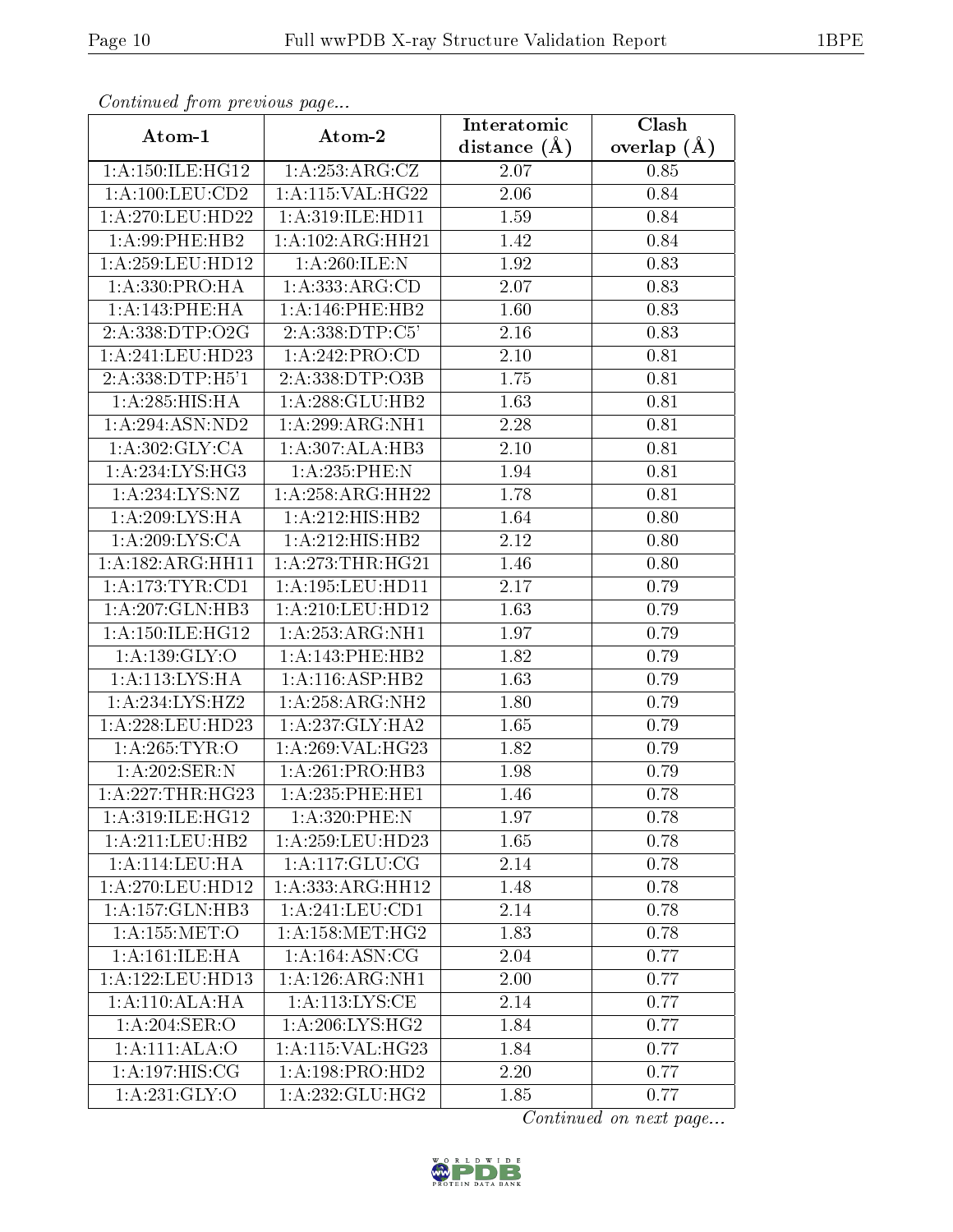| Continuea from previous page |                                              | Interatomic    | Clash         |  |
|------------------------------|----------------------------------------------|----------------|---------------|--|
| Atom-1                       | Atom-2                                       | distance $(A)$ | overlap $(A)$ |  |
| 1: A: 150: ILE: HG12         | 1:A:253:ARG:CZ                               | 2.07           | 0.85          |  |
| 1: A: 100: LEU: CD2          | $1:$ A:115:VAL:HG22                          | 2.06           | 0.84          |  |
| 1: A:270:LEU:HD22            | 1: A:319: ILE: HD11                          | 1.59           | 0.84          |  |
| 1:A:99:PHE:HB2               | 1: A: 102: ARG: HH21                         | 1.42           | 0.84          |  |
| 1: A:259:LEU:HD12            | 1:A:260:ILE:N                                | 1.92           | 0.83          |  |
| 1:A:330:PRO:HA               | 1:A:333:ARG:CD                               | 2.07           | 0.83          |  |
| 1:A:143:PHE:HA               | 1:A:146:PHE:HB2                              | 1.60           | 0.83          |  |
| 2:A:338:DTP:O2G              | 2:A:338:DTP:C5'                              | 2.16           | 0.83          |  |
| 1:A:241:LEU:HD23             | 1:A:242:PRO:CD                               | 2.10           | 0.81          |  |
| 2:A:338:DTP:H5'1             | 2:A:338:DTP:O3B                              | 1.75           | 0.81          |  |
| 1: A:285: HIS: HA            | 1:A:288:GLU:HB2                              | 1.63           | 0.81          |  |
| 1: A:294: ASN:ND2            | 1:A:299:ARG:NH1                              | 2.28           | 0.81          |  |
| 1: A:302: GLY: CA            | 1:A:307:ALA:HB3                              | $2.10\,$       | 0.81          |  |
| 1: A: 234: LYS: HG3          | 1:A:235:PHE:N                                | 1.94           | 0.81          |  |
| 1:A:234:LYS:NZ               | 1: A:258:ARG:HH22                            | 1.78           | 0.81          |  |
| 1:A:209:LYS:HA               | $1:A:212:HIS:H\overline{B2}$                 | 1.64           | 0.80          |  |
| 1:A:209:LYS:CA               | 1:A:212:HIS:HB2                              | 2.12           | 0.80          |  |
| 1:A:182:ARG:HH11             | 1: A:273:THR:HG21                            | 1.46           | 0.80          |  |
| 1: A:173:TYR:CD1             | 1:A:195:LEU:HD11                             | 2.17           | 0.79          |  |
| 1:A:207:GLN:HB3              | 1: A:210:LEU:HD12                            | 1.63           | 0.79          |  |
| 1: A:150: ILE: HG12          | 1:A:253:ARG:NH1                              | 1.97           | 0.79          |  |
| 1: A: 139: GLY: O            | 1:A:143:PHE:HB2                              | 1.82           | 0.79          |  |
| 1:A:113:LYS:HA               | 1:A:116:ASP:HB2                              | 1.63           | 0.79          |  |
| 1:A:234:LYS:HZ2              | 1:A:258:ARG:NH2                              | 1.80           | 0.79          |  |
| 1:A:228:LEU:HD23             | 1:A:237:GLY:HA2                              | 1.65           | 0.79          |  |
| 1: A:265:TYR:O               | 1: A:269: VAL:HG23                           | 1.82           | 0.79          |  |
| 1:A:202:SER:N                | 1:A:261:PRO:HB3                              | 1.98           | 0.79          |  |
| 1:A:227:THR:HG23             | 1:A:235:PHE:HE1                              | 1.46           | 0.78          |  |
| 1:A:319:ILE:HG12             | 1:A:320:PHE:N                                | 1.97           | 0.78          |  |
| 1: A:211:LEU:HB2             | $1:\overline{A}:259:\text{LEU}:HD23$         | 1.65           | 0.78          |  |
| 1: A:114:LEU:HA              | 1: A: 117: GLU: CG                           | 2.14           | 0.78          |  |
| 1: A:270:LEU:HD12            | 1:A:333:ARG:HH12                             | 1.48           | 0.78          |  |
| 1:A:157:GLN:HB3              | 1: A:241:LEU:CD1                             | 2.14           | 0.78          |  |
| 1: A: 155: MET:O             | $1: A:158: \overline{\text{MET:H}\text{G2}}$ | 1.83           | 0.78          |  |
| 1: A:161: ILE: HA            | 1:A:164:ASN:CG                               | 2.04           | 0.77          |  |
| 1: A:122:LEU:HD13            | 1: A: 126: ARG: NH1                          | 2.00           | 0.77          |  |
| 1: A:110:ALA:HA              | 1:A:113:LYS:CE                               | 2.14           | 0.77          |  |
| 1:A:204:SER:O                | 1: A:206: LYS: HG2                           | 1.84           | 0.77          |  |
| 1: A:111: ALA:O              | 1: A:115: VAL:HG23                           | 1.84           | 0.77          |  |
| 1:A:197:HIS:CG               | 1: A: 198: PRO: HD2                          | 2.20           | 0.77          |  |
| 1:A:231:GLY:O                | 1: A: 232: GLU: HG2                          | 1.85           | 0.77          |  |

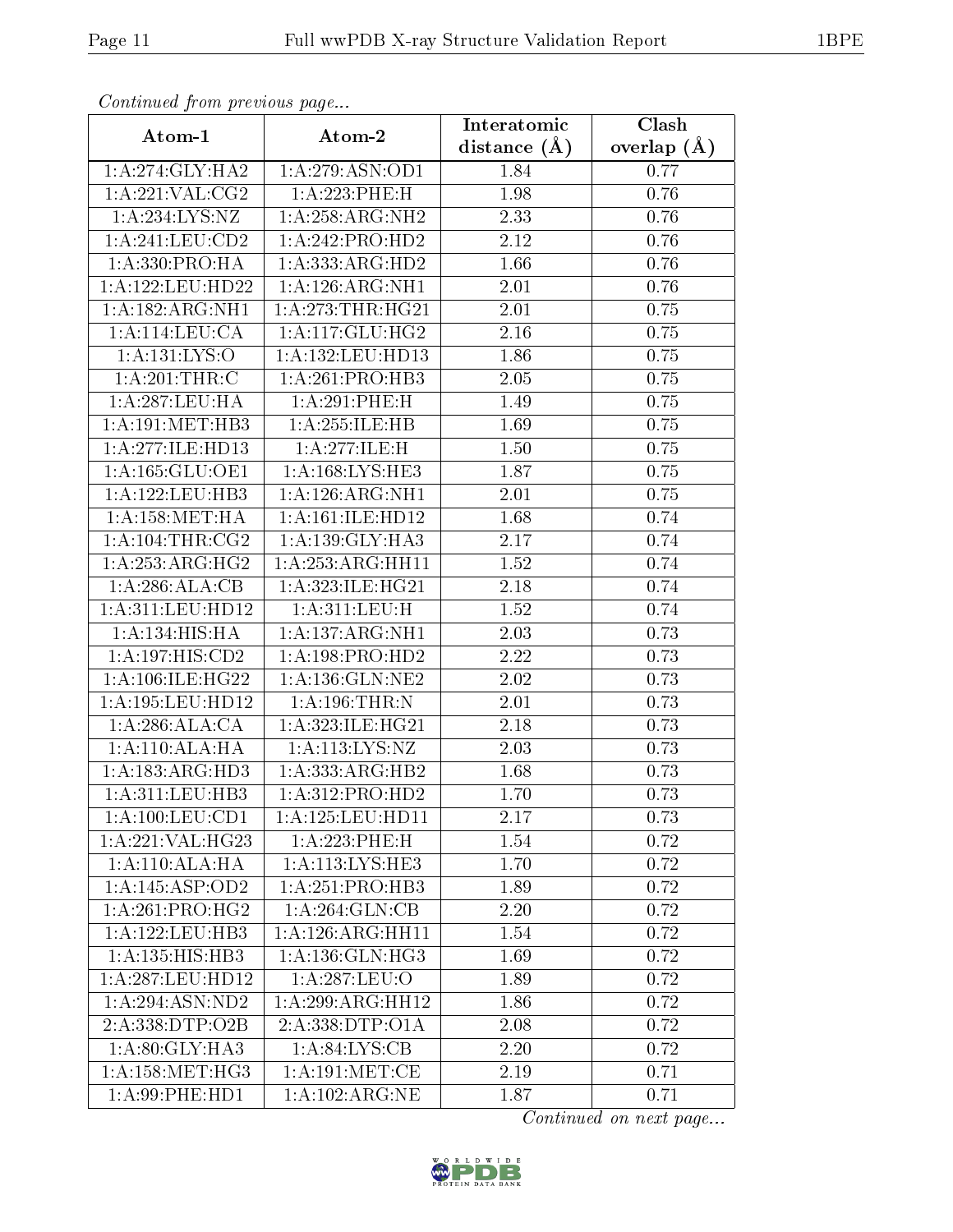| сонинией јтоні ртеvious раде<br>Clash<br>Interatomic |                                     |                   |               |  |
|------------------------------------------------------|-------------------------------------|-------------------|---------------|--|
| Atom-1                                               | Atom-2                              | distance $(A)$    | overlap $(A)$ |  |
| 1: A:274: GLY:HA2                                    | 1: A:279: ASN:OD1                   | 1.84              | 0.77          |  |
| 1:A:221:VAL:CG2                                      | 1:A:223:PHE:H                       | 1.98              | 0.76          |  |
| 1:A:234:LYS:NZ                                       | 1: A:258:ARG:NH2                    | 2.33              | 0.76          |  |
| 1:A:241:LEU:CD2                                      | 1:A:242:PRO:HD2                     | 2.12              | 0.76          |  |
| 1:A:330:PRO:HA                                       | 1:A:333:ARG:HD2                     | 1.66              | 0.76          |  |
| 1:A:122:LEU:HD22                                     | 1:A:126:ARG:NH1                     | 2.01              | 0.76          |  |
| 1:A:182:ARG:NH1                                      | 1: A:273:THR:HG21                   | 2.01              | 0.75          |  |
| 1:A:114:LEU:CA                                       | 1: A:117: GLU: HG2                  | 2.16              | 0.75          |  |
| 1:A:131:LYS:O                                        | 1:A:132:LEU:HD13                    | 1.86              | 0.75          |  |
| 1:A:201:THR:C                                        | 1:A:261:PRO:HB3                     | 2.05              | 0.75          |  |
| 1: A:287:LEU:HA                                      | 1:A:291:PHE:H                       | 1.49              | 0.75          |  |
| 1: A:191:MET:HB3                                     | 1:A:255:ILE:HB                      | 1.69              | 0.75          |  |
| 1:A:277:ILE:HD13                                     | 1:A:277:ILE:H                       | 1.50              | 0.75          |  |
| 1: A: 165: GLU: OE1                                  | 1: A:168: LYS: HE3                  | 1.87              | 0.75          |  |
| 1:A:122:LEU:HB3                                      | 1: A: 126: ARG: NH1                 | 2.01              | 0.75          |  |
| 1: A: 158:MET:HA                                     | 1: A:161: ILE: HD12                 | 1.68              | 0.74          |  |
| 1: A: 104:THR: CG2                                   | 1: A: 139: GLY: HA3                 | 2.17              | 0.74          |  |
| 1:A:253:ARG:HG2                                      | 1: A: 253: ARG: HH11                | 1.52              | 0.74          |  |
| 1:A:286:ALA:CB                                       | 1:A:323:ILE:HG21                    | 2.18              | 0.74          |  |
| 1: A:311: LEU: HD12                                  | 1:A:311:LEU:H                       | 1.52              | 0.74          |  |
| 1: A: 134: HIS: HA                                   | 1:A:137:ARG:NH1                     | 2.03              | 0.73          |  |
| 1:A:197:HIS:CD2                                      | 1: A: 198: PRO: HD2                 | 2.22              | 0.73          |  |
| 1:A:106:ILE:HG22                                     | 1: A: 136: GLN: NE2                 | 2.02              | 0.73          |  |
| 1:A:195:LEU:HD12                                     | 1: A: 196: THR:N                    | $\overline{2.01}$ | 0.73          |  |
| 1:A:286:ALA:CA                                       | 1:A:323:ILE:HG21                    | 2.18              | 0.73          |  |
| 1: A:110:ALA:HA                                      | 1: A: 113: LYS: NZ                  | 2.03              | 0.73          |  |
| 1:A:183:ARG:HD3                                      | 1:A:333:ARG:HB2                     | 1.68              | 0.73          |  |
| 1:A:311:LEU:HB3                                      | 1:A:312:PRO:HD2                     | 1.70              | 0.73          |  |
| 1:A:100:LEU:CD1                                      | 1:A:125:LEU:HD11                    | 2.17              | 0.73          |  |
| 1:A:221:VAL:HG23                                     | 1:A:223:PHE:H                       | 1.54              | 0.72          |  |
| 1: A:110:ALA:HA                                      | 1: A:113: LYS: HE3                  | 1.70              | 0.72          |  |
| 1:A:145:ASP:OD2                                      | 1:A:251:PRO:HB3                     | 1.89              | 0.72          |  |
| 1: A:261:PRO:HG2                                     | 1: A:264: GLN:CB                    | 2.20              | 0.72          |  |
| 1:A:122:LEU:HB3                                      | 1:A:126:ARG:HH11                    | 1.54              | 0.72          |  |
| 1: A: 135: HIS: HB3                                  | 1: A: 136: GLN: HG3                 | 1.69              | 0.72          |  |
| 1: A:287:LEU:HD12                                    | $1:A:287:\overline{\textrm{LEU:O}}$ | 1.89              | 0.72          |  |
| 1:A:294:ASN:ND2                                      | $1:A:299:ARG:H\overline{H12}$       | 1.86              | 0.72          |  |
| 2:A:338:DTP:O2B                                      | 2:A:338:DTP:O1A                     | 2.08              | 0.72          |  |
| 1: A:80: GLY: HA3                                    | 1: A:84:LYS:CB                      | 2.20              | 0.72          |  |
| 1: A: 158: MET:HG3                                   | 1: A: 191: MET: CE                  | 2.19              | 0.71          |  |
| 1:A:99:PHE:HD1                                       | $1:A:102:ARG:\overline{\text{NE}}$  | 1.87              | 0.71          |  |

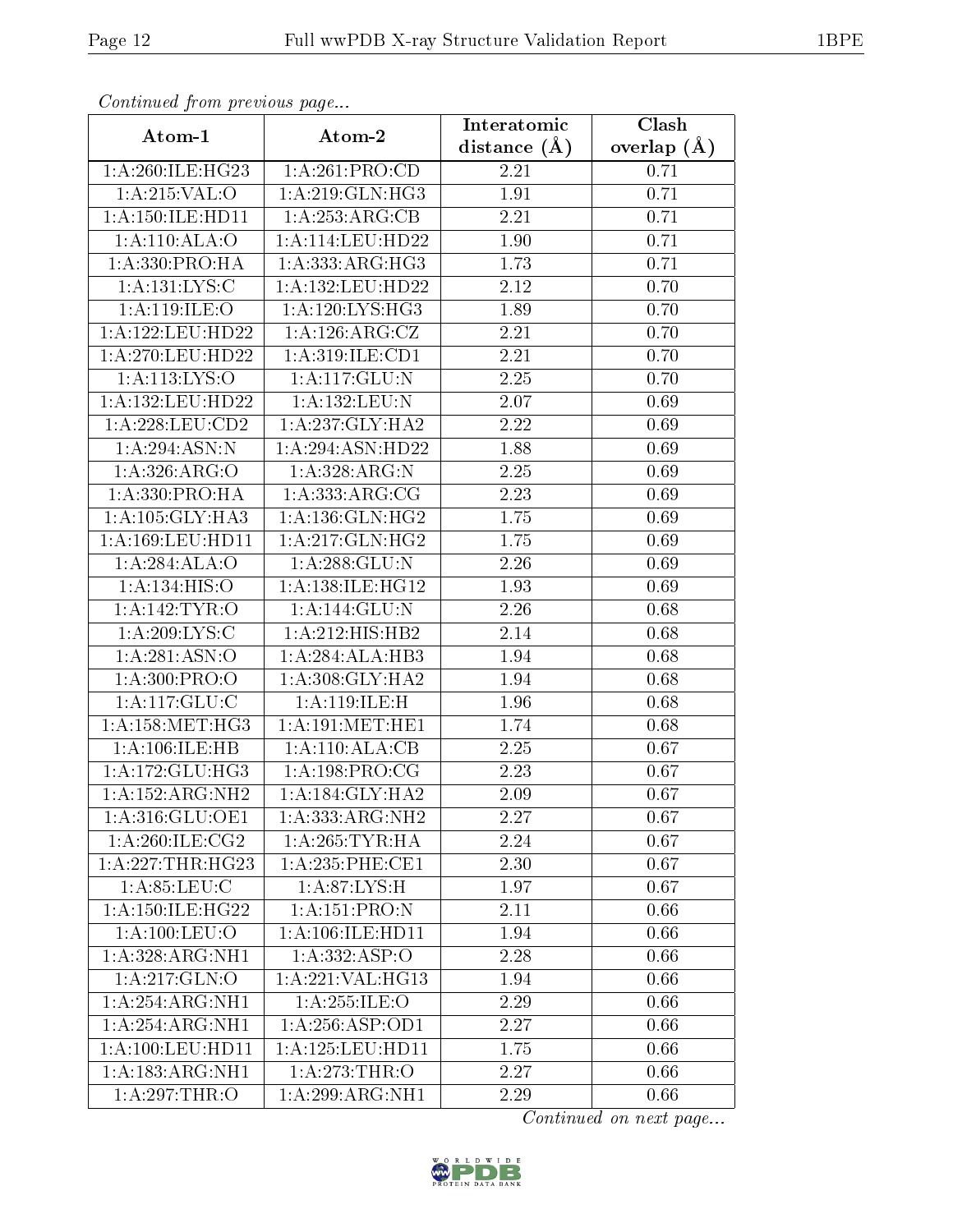| Continuea from previous page |                                                                                                                                                    | Interatomic       | $\overline{\text{Clash}}$ |  |
|------------------------------|----------------------------------------------------------------------------------------------------------------------------------------------------|-------------------|---------------------------|--|
| Atom-1                       | Atom-2                                                                                                                                             | distance $(A)$    | overlap $(A)$             |  |
| 1:A:260:ILE:HG23             | 1:A:261:PRO:CD                                                                                                                                     | 2.21              | 0.71                      |  |
| 1:A:215:VAL:O                | $1:\stackrel{\textstyle\Lambda}{\textstyle-.} 219:\stackrel{\textstyle\rm\cdots}{\textstyle.\rm GLN}:\stackrel{\textstyle\rm H}{\textstyle\rm G3}$ | 1.91              | 0.71                      |  |
| 1: A: 150: ILE: HD11         | 1:A:253:ARG:CB                                                                                                                                     | 2.21              | 0.71                      |  |
| 1: A:110:ALA:O               | 1: A:114:LEU:HD22                                                                                                                                  | 1.90              | 0.71                      |  |
| 1:A:330:PRO:HA               | 1: A: 333:ARG:HG3                                                                                                                                  | 1.73              | 0.71                      |  |
| 1: A: 131: LYS:C             | 1:A:132:LEU:HD22                                                                                                                                   | 2.12              | 0.70                      |  |
| 1: A:119: ILE: O             | 1:A:120:LYS:HG3                                                                                                                                    | 1.89              | 0.70                      |  |
| 1: A: 122: LEU: HD22         | 1: A:126: ARG: CZ                                                                                                                                  | 2.21              | 0.70                      |  |
| 1:A:270:LEU:HD22             | 1:A:319:ILE:CD1                                                                                                                                    | $\overline{2}.21$ | 0.70                      |  |
| 1:A:113:LYS:O                | 1:A:117:GLU:N                                                                                                                                      | $2.25\,$          | 0.70                      |  |
| 1: A: 132: LEU: HD22         | 1: A: 132: LEU: N                                                                                                                                  | 2.07              | 0.69                      |  |
|                              | 1:A:237:GLY:HA2                                                                                                                                    | 2.22              | 0.69                      |  |
| 1:A:294:ASN:N                | 1:A:294:ASN:HD22                                                                                                                                   | 1.88              | 0.69                      |  |
| 1:A:326:ARG:O                | 1:A:328:ARG:N                                                                                                                                      | 2.25              | 0.69                      |  |
| 1:A:330:PRO:HA               | 1:A:333:ARG:CG                                                                                                                                     | 2.23              | 0.69                      |  |
| 1: A: 105: GLY: HA3          | 1: A: 136: GLN: HG2                                                                                                                                | 1.75              | 0.69                      |  |
| 1:A:169:LEU:HD11             | 1:A:217:GLN:HG2                                                                                                                                    | 1.75              | 0.69                      |  |
| 1:A:284:ALA:O                | 1:A:288:GLU:N                                                                                                                                      | 2.26              | 0.69                      |  |
| 1:A:134:HIS:O                | 1:A:138:ILE:HG12                                                                                                                                   | 1.93              | 0.69                      |  |
| 1:A:142:TYR:O                | 1:A:144:GLU:N                                                                                                                                      | 2.26              | 0.68                      |  |
| 1:A:209:LYS:C                | 1:A:212:HIS:HB2                                                                                                                                    | 2.14              | 0.68                      |  |
| 1: A:281: ASN:O              | 1:A:284:ALA:HB3                                                                                                                                    | 1.94              | 0.68                      |  |
| 1:A:300:PRO:O                | 1:A:308:GLY:HA2                                                                                                                                    | 1.94              | 0.68                      |  |
| 1:A:117:GLU:C                | 1:A:119:ILE:H                                                                                                                                      | 1.96              | 0.68                      |  |
| 1: A: 158: MET:HG3           | 1: A:191:MET:HE1                                                                                                                                   | 1.74              | 0.68                      |  |
| 1:A:106:ILE:HB               | 1:A:110:ALA:CB                                                                                                                                     | 2.25              | 0.67                      |  |
| 1: A:172: GLU:HG3            | 1: A: 198: PRO:CG                                                                                                                                  | 2.23              | 0.67                      |  |
| 1:A:152:ARG:NH2              | $1:A:184:GLY:H\overline{A2}$                                                                                                                       | $2.09\,$          | 0.67                      |  |
| 1:A:316:GLU:OE1              | 1: A: 333:ARG:NH2                                                                                                                                  | 2.27              | 0.67                      |  |
| 1: A:260: ILE: CG2           | 1: A:265:TYR:HA                                                                                                                                    | 2.24              | 0.67                      |  |
| 1:A:227:THR:HG23             | 1: A:235:PHE:CE1                                                                                                                                   | 2.30              | 0.67                      |  |
| 1: A:85:LEU:C                | 1: A:87: LYS:H                                                                                                                                     | 1.97              | 0.67                      |  |
| 1: A: 150: ILE: HG22         | 1:A:151:PRO:N                                                                                                                                      | 2.11              | 0.66                      |  |
| 1: A: 100: LEU: O            | 1:A:106:ILE:HD11                                                                                                                                   | 1.94              | 0.66                      |  |
| 1:A:328:ARG:NH1              | 1:A:332:ASP:O                                                                                                                                      | 2.28              | 0.66                      |  |
| $1:A:2\overline{17:GLN:O}$   | 1:A:221:VAL:HG13                                                                                                                                   | 1.94              | 0.66                      |  |
| 1:A:254:ARG:NH1              | 1: A: 255: ILE: O                                                                                                                                  | 2.29              | 0.66                      |  |
| 1:A:254:ARG:NH1              | 1: A:256: ASP:OD1                                                                                                                                  | 2.27              | 0.66                      |  |
| 1:A:100:LEU:HD11             | 1:A:125:LEU:HD11                                                                                                                                   | 1.75              | 0.66                      |  |
| 1:A:183:ARG:NH1              | 1:A:273:THR:O                                                                                                                                      | 2.27              | 0.66                      |  |
| 1:A:297:THR:O                | 1:A:299:ARG:NH1                                                                                                                                    | 2.29              | 0.66                      |  |

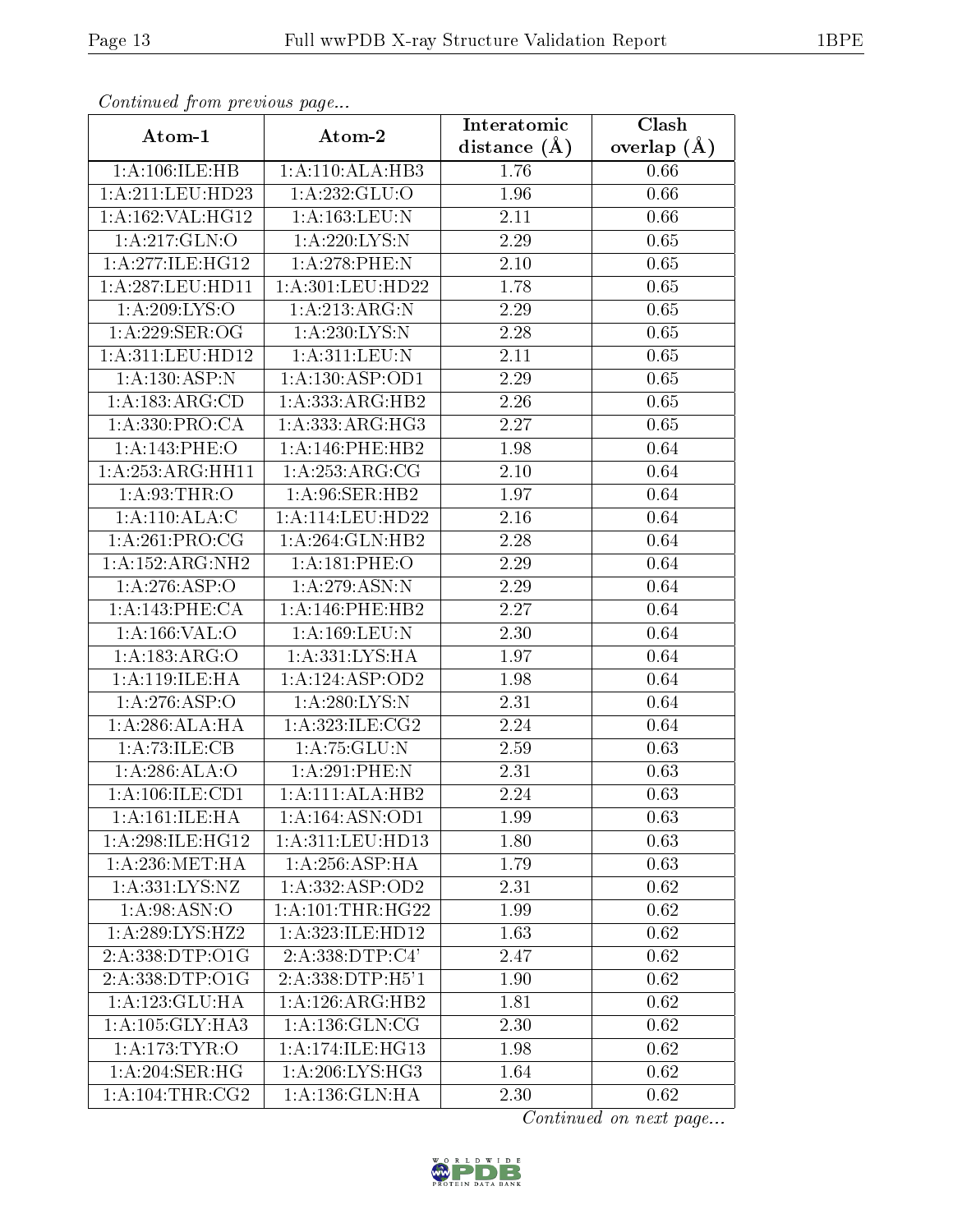| Continuou jiom protivus pago        |                     | Interatomic       | Clash           |
|-------------------------------------|---------------------|-------------------|-----------------|
| Atom-1                              | Atom-2              | distance $(\AA)$  | overlap $(\AA)$ |
| 1:A:106:ILE:HB                      | 1:A:110:ALA:HB3     | 1.76              | 0.66            |
| 1:A:211:LEU:HD23                    | 1: A: 232: GLU:O    | 1.96              | 0.66            |
| 1:A:162:VAL:HG12                    | 1: A: 163: LEU: N   | $2.11\,$          | 0.66            |
| 1:A:217:GLN:O                       | 1:A:220:LYS:N       | 2.29              | 0.65            |
| 1:A:277:ILE:HG12                    | 1:A:278:PHE:N       | $2.10\,$          | 0.65            |
| 1: A:287:LEU:HD11                   | 1: A:301:LEU:HD22   | 1.78              | 0.65            |
| 1:A:209:LYS:O                       | 1:A:213:ARG:N       | 2.29              | 0.65            |
| 1:A:229:SER:OG                      | 1:A:230:LYS:N       | 2.28              | 0.65            |
| 1:A:311:LEU:HD12                    | 1: A:311: LEU: N    | 2.11              | 0.65            |
| 1: A: 130: ASP: N                   | 1: A: 130: ASP: OD1 | 2.29              | 0.65            |
| 1:A:183:ARG:CD                      | 1:A:333:ARG:HB2     | 2.26              | 0.65            |
| 1: A: 330: PRO:CA                   | 1:A:333:ARG:HG3     | 2.27              | 0.65            |
| 1:A:143:PHE:O                       | 1:A:146:PHE:HB2     | 1.98              | 0.64            |
| 1:A:253:ARG:HH11                    | 1: A:253:ARG:CG     | 2.10              | 0.64            |
| 1: A:93:THR:O                       | 1:A:96:SER:HB2      | 1.97              | 0.64            |
| 1:A:110:ALA:C                       | 1:A:114:LEU:HD22    | 2.16              | 0.64            |
| $1:A:\overline{261:PRO:CG}$         | 1:A:264:GLN:HB2     | 2.28              | 0.64            |
| 1:A:152:ARG:NH2                     | 1:A:181:PHE:O       | 2.29              | 0.64            |
| $1:A:2\overline{76:ASP:O}$          | 1: A:279: ASN:N     | 2.29              | 0.64            |
| 1: A:143:PHE:CA                     | 1: A:146:PHE:HB2    | 2.27              | 0.64            |
| 1:A:166:VAL:O                       | 1:A:169:LEU:N       | 2.30              | 0.64            |
| 1:A:183:ARG:O                       | 1:A:331:LYS:HA      | 1.97              | 0.64            |
| 1: A:119: ILE: HA                   | 1:A:124:ASP:OD2     | 1.98              | 0.64            |
| 1:A:276:ASP:O                       | 1:A:280:LYS:N       | $\overline{2}.31$ | 0.64            |
| 1:A:286:ALA:HA                      | 1:A:323:ILE:CG2     | 2.24              | 0.64            |
| 1: A:73: ILE: CB                    | 1:A:75:GLU:N        | 2.59              | 0.63            |
| 1:A:286:ALA:O                       | 1:A:291:PHE:N       | 2.31              | 0.63            |
| $1:A:106:\overline{\text{ILE:CD1}}$ | 1:A:111:ALA:HB2     | 2.24              | 0.63            |
| 1: A:161: ILE: HA                   | 1:A:164:ASN:OD1     | 1.99              | 0.63            |
| 1: A:298: ILE: HG12                 | 1:A:311:LEU:HD13    | 1.80              | 0.63            |
| 1: A:236: MET:HA                    | 1:A:256:ASP:HA      | 1.79              | 0.63            |
| 1:A:331:LYS:NZ                      | 1:A:332:ASP:OD2     | 2.31              | 0.62            |
| 1: A:98: ASN:O                      | 1: A: 101:THR: HG22 | 1.99              | 0.62            |
| 1:A:289:LYS:HZ2                     | 1:A:323:ILE:HD12    | 1.63              | 0.62            |
| 2:A:338:DTP:O1G                     | 2:A:338:DTP:C4'     | 2.47              | 0.62            |
| 2:A:338:DTP:O1G                     | 2:A:338:DTP:H5'1    | 1.90              | 0.62            |
| 1:A:123:GLU:HA                      | 1:A:126:ARG:HB2     | 1.81              | 0.62            |
| 1:A:105:GLY:HA3                     | 1: A: 136: GLN: CG  | 2.30              | 0.62            |
| 1:A:173:TYR:O                       | 1: A:174: ILE: HG13 | 1.98              | 0.62            |
| 1:A:204:SER:HG                      | 1:A:206:LYS:HG3     | 1.64              | 0.62            |
| 1: A:104:THR:CG2                    | 1:A:136:GLN:HA      | 2.30              | 0.62            |

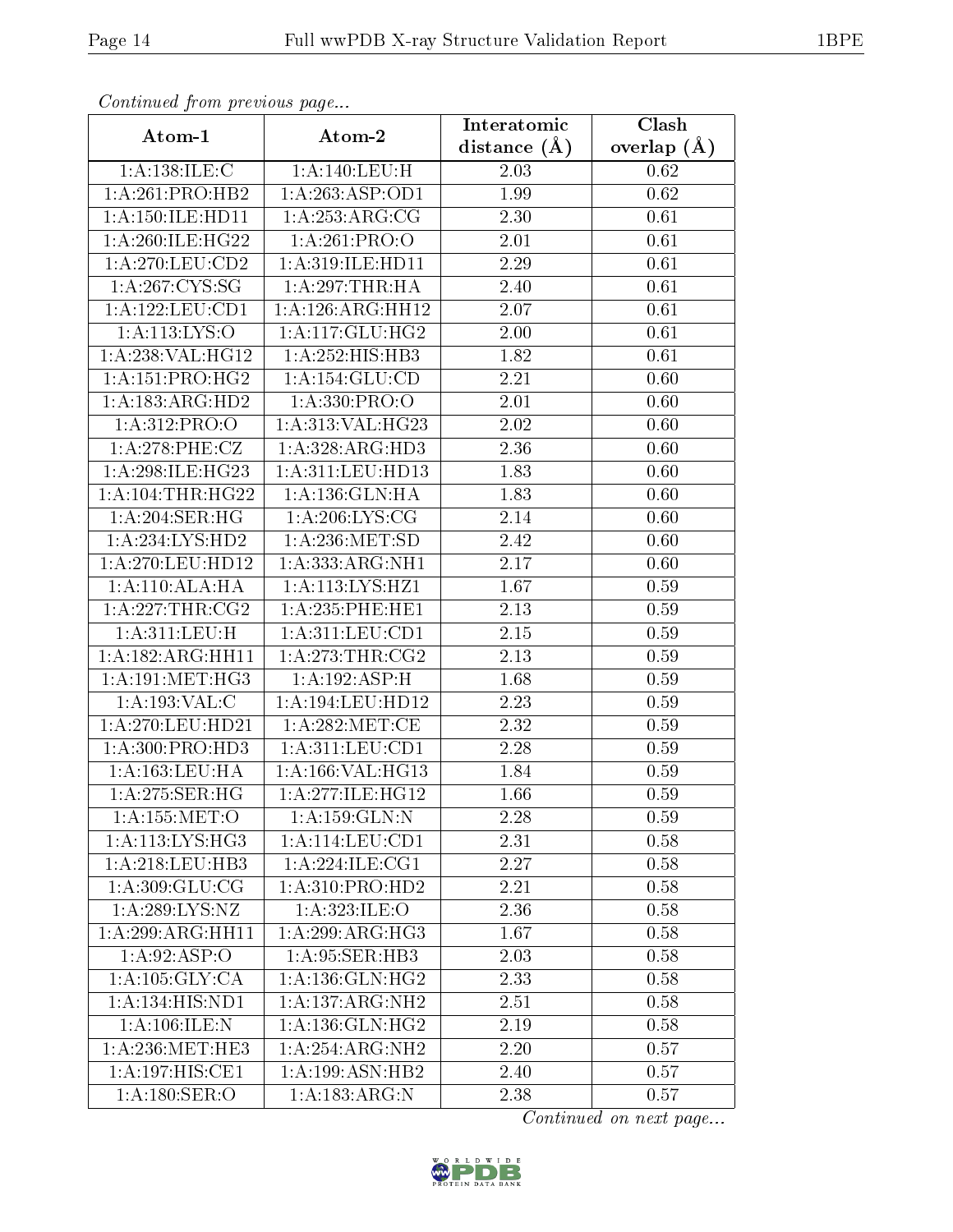| Comunaca jiom previous page                           |                              | Interatomic    | Clash         |
|-------------------------------------------------------|------------------------------|----------------|---------------|
| Atom-1                                                | Atom-2                       | distance $(A)$ | overlap $(A)$ |
| 1:A:138:ILE:C                                         | 1: A:140: LEU:H              | 2.03           | 0.62          |
| 1:A:261:PRO:HB2                                       | 1: A:263:ASP:OD1             | 1.99           | 0.62          |
| 1: A:150: ILE: HD11                                   | $1:$ A:253:ARG:CG            | 2.30           | 0.61          |
| 1: A:260: ILE: HG22                                   | 1: A:261:PRO:O               | 2.01           | 0.61          |
| 1:A:270:LEU:CD2                                       | 1:A:319:ILE:HD11             | 2.29           | 0.61          |
| 1: A:267:CYS:SG                                       | 1: A:297:THR:HA              | 2.40           | 0.61          |
| 1: A: 122: LEU: CD1                                   | 1:A:126:ARG:HH12             | 2.07           | 0.61          |
| 1: A: 113: LYS: O                                     | 1: A:117: GLU: HG2           | 2.00           | 0.61          |
| 1:A:238:VAL:HG12                                      | $1:A:25\overline{2:HIS:HB3}$ | 1.82           | 0.61          |
| 1: A: 151: PRO:HG2                                    | 1:A:154:GLU:CD               | 2.21           | 0.60          |
| 1: A: 183: ARG: HD2                                   | 1: A: 330: PRO:              | 2.01           | 0.60          |
| 1:A:312:PRO:O                                         | 1:A:313:VAL:HG23             | 2.02           | 0.60          |
| 1:A:278:PHE:CZ                                        | 1:A:328:ARG:HD3              | 2.36           | 0.60          |
| 1:A:298:ILE:HG23                                      | 1:A:311:LEU:HD13             | 1.83           | 0.60          |
| 1: A: 104: THR: HG22                                  | 1: A: 136: GLN: HA           | 1.83           | 0.60          |
| 1: A:204:SER:HG                                       | 1: A:206: LYS: CG            | 2.14           | 0.60          |
| 1: A: 234: LYS: HD2                                   | 1: A:236: MET:SD             | 2.42           | 0.60          |
| 1: A:270: LEU: HD12                                   | 1: A: 333:ARG:NH1            | 2.17           | 0.60          |
| 1:A:110:ALA:HA                                        | 1:A:113:LYS:HZ1              | 1.67           | 0.59          |
| 1: A:227:THR:CG2                                      | $1: A:235:$ PHE:HE1          | 2.13           | 0.59          |
| 1:A:311:LEU:H                                         | 1: A:311:LEV:CD1             | 2.15           | 0.59          |
| 1:A:182:ARG:HH11                                      | 1: A:273:THR:CG2             | 2.13           | 0.59          |
| 1: A:191: MET:HG3                                     | 1:A:192:ASP:H                | 1.68           | 0.59          |
| 1:A:193:VAL:CC                                        | 1:A:194:LEU:HD12             | 2.23           | 0.59          |
| 1:A:270:LEU:HD21                                      | 1: A:282:MET:CE              | 2.32           | 0.59          |
| 1: A:300: PRO:HD3                                     | 1: A:311: LEU: CD1           | 2.28           | 0.59          |
| 1: A: 163: LEU: HA                                    | 1:A:166:VAL:HG13             | 1.84           | 0.59          |
| $1: A:275: \overline{\text{SER:HG}}$                  | 1:A:277:1LE:HG12             | 1.66           | 0.59          |
| 1:A:155:MET:O                                         | 1:A:159:GLN:N                | 2.28           | 0.59          |
| 1:A:113:LYS:HG3                                       | 1: A:114:LEU:CD1             | 2.31           | 0.58          |
| 1: A:218:LEU:HB3                                      | 1: A:224: ILE:CG1            | 2.27           | 0.58          |
| 1:A:309:GLU:CG                                        | 1:A:310:PRO:HD2              | 2.21           | 0.58          |
| 1: A:289: LYS: NZ                                     | 1: A: 323: ILE: O            | 2.36           | 0.58          |
| 1:A:299:ARG:HH11                                      | 1:A:299:ARG:HG3              | 1.67           | 0.58          |
| 1: A:92: ASP:O                                        | 1:A:95:SER:HB3               | 2.03           | 0.58          |
| 1: A: 105: GLY: CA                                    | 1:A:136:GLN:HG2              | 2.33           | 0.58          |
| 1:A:134:HIS:ND1                                       | 1:A:137:ARG:NH2              | 2.51           | 0.58          |
| 1:A:106:ILE:N                                         | 1: A: 136: GLN: HG2          | 2.19           | 0.58          |
| $1:\overline{A}:236:\overline{\text{MET}:\text{HE}3}$ | 1:A:254:ARG:NH2              | 2.20           | 0.57          |
| 1:A:197:HIS:CE1                                       | 1: A: 199: ASN: HB2          | 2.40           | 0.57          |
| 1:A:180:SER:O                                         | 1:A:183:ARG:N                | 2.38           | 0.57          |

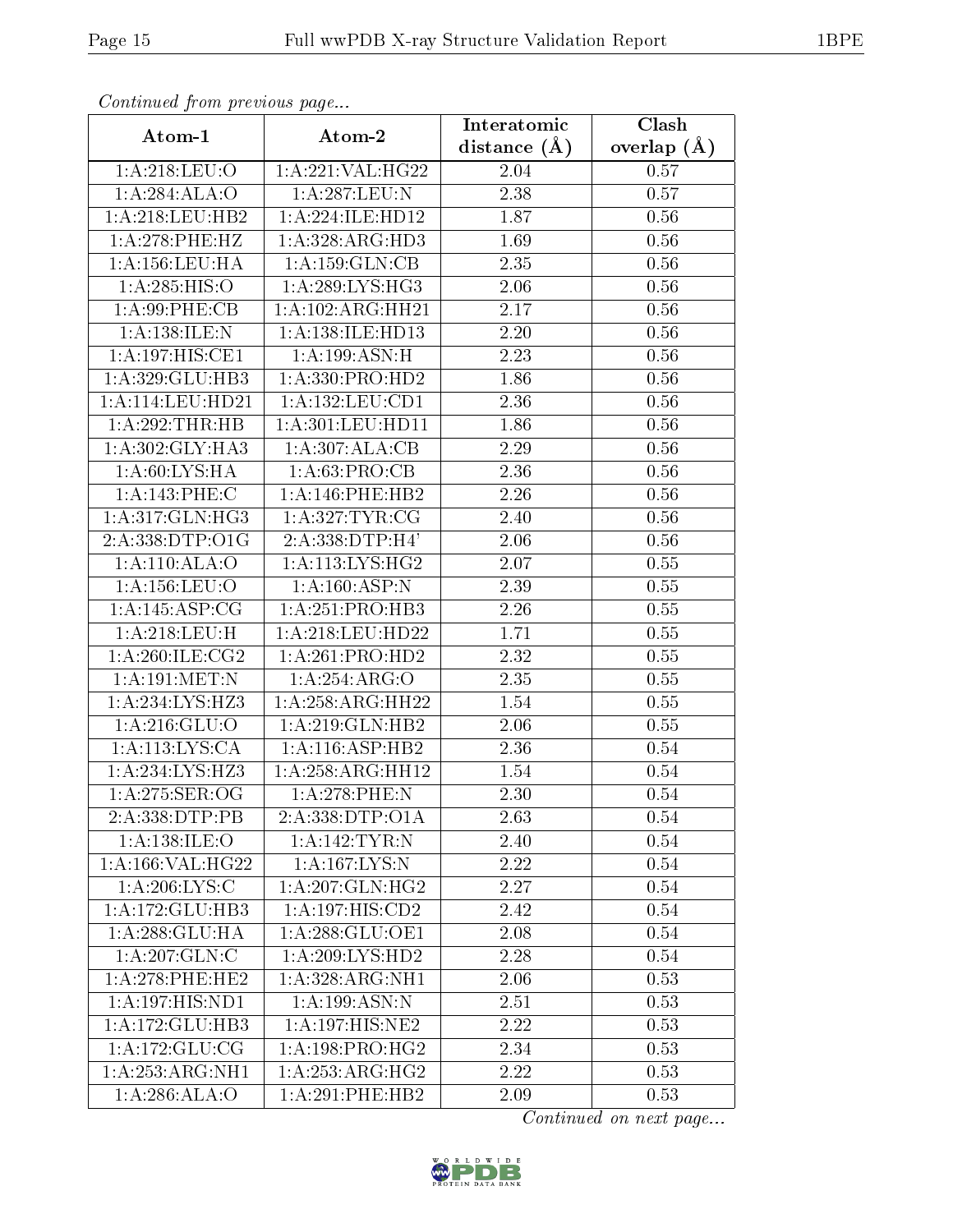| Continuea from previous page | Interatomic                | Clash             |                   |
|------------------------------|----------------------------|-------------------|-------------------|
| Atom-1                       | Atom-2                     | distance $(A)$    | overlap $(A)$     |
| 1:A:218:LEU:O                | 1:A:221:VAL:HG22           | 2.04              | 0.57              |
| 1:A:284:ALA:O                | 1:A:287:LEU:N              | 2.38              | 0.57              |
| 1: A:218:LEU:HB2             | 1:A:224:ILE:HD12           | 1.87              | 0.56              |
| 1:A:278:PHE:HZ               | 1:A:328:ARG:HD3            | 1.69              | 0.56              |
| 1: A: 156: LEU: HA           | 1: A: 159: GLN: CB         | 2.35              | 0.56              |
| 1:A:285:HIS:O                | 1: A:289:LYS:HG3           | 2.06              | 0.56              |
| 1: A:99: PHE:CB              | 1: A: 102: ARG: HH21       | 2.17              | 0.56              |
| 1:A:138:ILE:N                | 1:A:138:ILE:HD13           | 2.20              | 0.56              |
| 1:A:197:HIS:CE1              | 1: A:199: ASN:H            | $\overline{2}.23$ | 0.56              |
| 1:A:329:GLU:HB3              | 1: A: 330: PRO: HD2        | 1.86              | 0.56              |
| 1: A:114:LEU:HD21            | 1: A: 132: LEU: CD1        | 2.36              | 0.56              |
| 1:A:292:THR:HB               | 1: A: 301: LEU: HD11       | 1.86              | 0.56              |
| 1: A:302: GLY:HA3            | 1:A:307:ALA:CB             | 2.29              | 0.56              |
| 1: A:60: LYS: HA             | 1: A:63: PRO:CB            | 2.36              | 0.56              |
| 1:A:143:PHE:C                | 1:A:146:PHE:HB2            | 2.26              | 0.56              |
| 1:A:317:GLN:HG3              | 1: A:327: TYR: CG          | 2.40              | 0.56              |
| 2:A:338:DTP:O1G              | 2:A:338:DTP:H4'            | 2.06              | 0.56              |
| 1:A:110:ALA:O                | 1: A:113: LYS: HG2         | 2.07              | 0.55              |
| 1: A: 156: LEU: O            | $1:\overline{A:160:ASP:N}$ | 2.39              | 0.55              |
| 1: A:145: ASP:CG             | 1:A:251:PRO:HB3            | 2.26              | 0.55              |
| 1:A:218:LEU:H                | 1:A:218:LEU:HD22           | 1.71              | 0.55              |
| 1: A:260: ILE: CG2           | 1:A:261:PRO:HD2            | 2.32              | 0.55              |
| 1: A:191:MET:N               | 1:A:254:ARG:O              | 2.35              | 0.55              |
| 1:A:234:LYS:HZ3              | 1: A:258:ARG:HH22          | 1.54              | 0.55              |
| 1:A:216:GLU:O                | 1:A:219:GLN:HB2            | 2.06              | 0.55              |
| 1: A:113: LYS:CA             | 1:A:116:ASP:HB2            | $\overline{2}.36$ | 0.54              |
| 1:A:234:LYS:HZ3              | 1:A:258:ARG:HH12           | 1.54              | 0.54              |
| 1:A:275:SER:OG               | 1:A:278:PHE:N              | 2.30              | $\overline{0}.54$ |
| 2:A:338:DTP:PB               | 2:A:338:DTP:O1A            | 2.63              | 0.54              |
| 1:A:138:ILE:O                | 1:A:142:TYR:N              | 2.40              | 0.54              |
| 1: A: 166: VAL:HG22          | 1: A: 167: LYS:N           | 2.22              | 0.54              |
| 1: A:206: LYS:C              | 1:A:207:GLN:HG2            | 2.27              | 0.54              |
| 1:A:172:GLU:HB3              | 1:A:197:HIS:CD2            | 2.42              | 0.54              |
| 1:A:288:GLU:HA               | 1: A:288: GLU:OE1          | 2.08              | 0.54              |
| 1:A:207:GLN:C                | 1:A:209:LYS:HD2            | 2.28              | 0.54              |
| 1:A:278:PHE:HE2              | 1:A:328:ARG:NH1            | 2.06              | 0.53              |
| $1:A:197:HIS:N\overline{D1}$ | $1:A:199:ASN:\overline{N}$ | 2.51              | 0.53              |
| 1:A:172:GLU:HB3              | 1:A:197:HIS:NE2            | 2.22              | 0.53              |
| 1: A:172: GLU:CG             | 1: A: 198: PRO:HG2         | 2.34              | 0.53              |
| 1:A:253:ARG:NH1              | 1: A:253:ARG:HG2           | 2.22              | 0.53              |
| 1: A:286: ALA:O              | 1:A:291:PHE:HB2            | 2.09              | 0.53              |

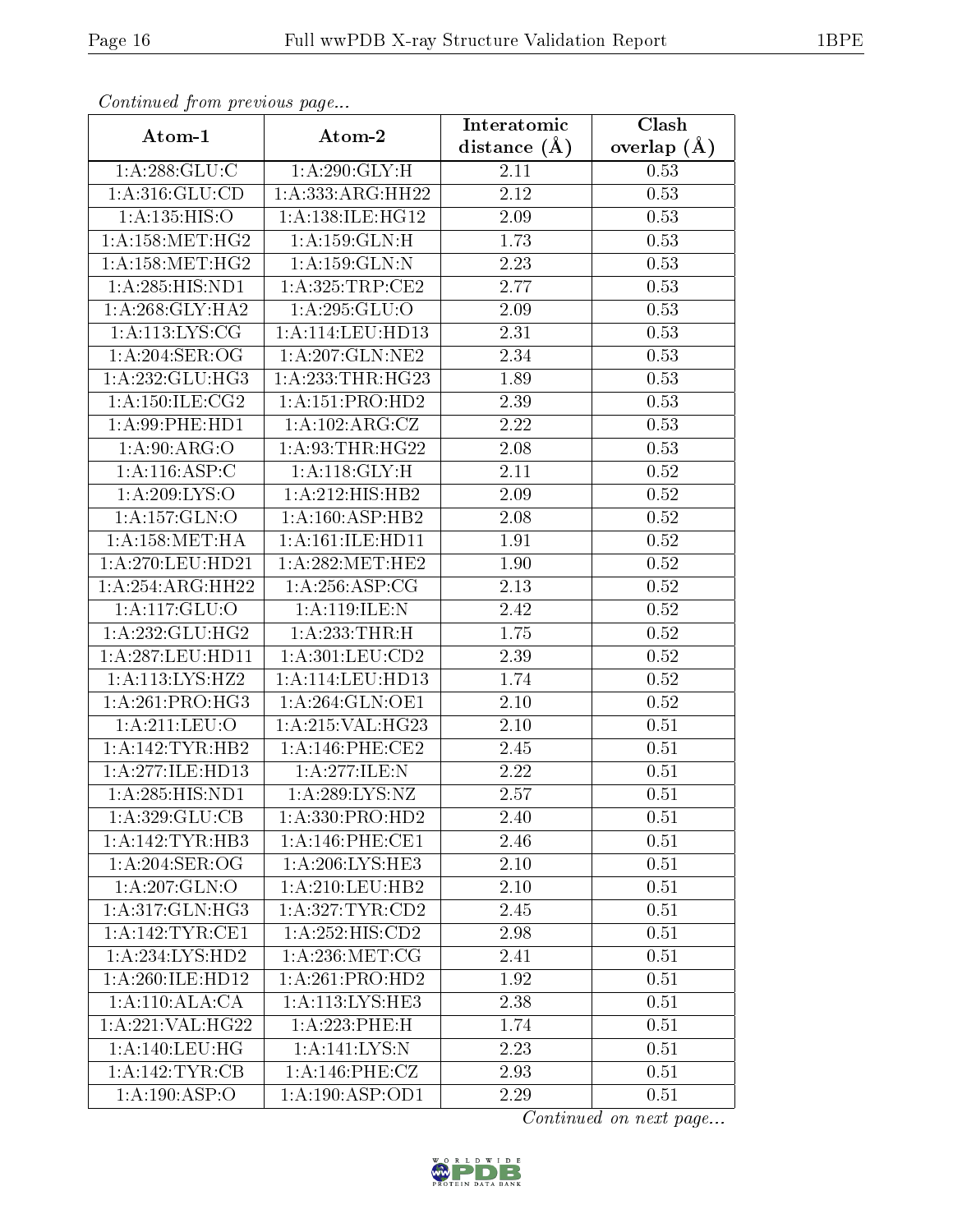| Commaca jibin previous page  | Clash                                |                               |               |
|------------------------------|--------------------------------------|-------------------------------|---------------|
| Atom-1                       | Atom-2                               | Interatomic<br>distance $(A)$ | overlap $(A)$ |
| 1:A:288:GLU:C                | 1: A:290: GLY: H                     | 2.11                          | 0.53          |
| 1: A:316: GLU:CD             | 1:A:333:ARG:HH22                     | 2.12                          | 0.53          |
| 1: A: 135: HIS: O            | 1:A:138:ILE:HG12                     | $2.09\,$                      | 0.53          |
| 1: A: 158: MET:HG2           | 1:A:159:GLN:H                        | 1.73                          | 0.53          |
| 1: A: 158: MET:HG2           | 1:A:159:GLN:N                        | 2.23                          | 0.53          |
| 1:A:285:HIS:ND1              | 1: A:325:TRP:CE2                     | 2.77                          | 0.53          |
| 1: A:268: GLY:HA2            | 1: A:295: GLU:O                      | 2.09                          | 0.53          |
| 1: A:113: LYS: CG            | 1: A:114:LEU:HD13                    | 2.31                          | 0.53          |
| 1: A:204:SER:OG              | 1: A:207: GLN:NE2                    | 2.34                          | 0.53          |
| 1: A: 232: GLU: HG3          | 1: A: 233: THR: HG23                 | 1.89                          | 0.53          |
| 1: A:150: ILE: CG2           | 1:A:151:PRO:HD2                      | 2.39                          | 0.53          |
| 1:A:99:PHE:HD1               | 1:A:102:ARG:CZ                       | 2.22                          | 0.53          |
| $1:A:90:\overline{ARG:O}$    | 1: A:93:THR:HG22                     | 2.08                          | 0.53          |
| 1: A:116: ASP:C              | 1: A:118: GLY: H                     | 2.11                          | 0.52          |
| 1:A:209:LYS:O                | 1:A:212:HIS:HB2                      | 2.09                          | 0.52          |
| 1:A:157:GLN:O                | 1:A:160:ASP:HB2                      | 2.08                          | 0.52          |
| 1: A: 158: MET: HA           | 1: A: 161: ILE: HD11                 | 1.91                          | $0.52\,$      |
| 1: A:270:LEU:HD21            | 1: A:282:MET:HE2                     | 1.90                          | 0.52          |
| 1:A:254:ARG:HH22             | 1: A:256: ASP:CG                     | 2.13                          | 0.52          |
| 1:A:117:GLU:O                | 1:A:119:ILE:N                        | 2.42                          | 0.52          |
| 1:A:232:GLU:HG2              | 1:A:233:THR:H                        | 1.75                          | 0.52          |
| 1: A:287:LEU:HD11            | 1: A: 301: LEU: CD2                  | 2.39                          | 0.52          |
| 1:A:113:LYS:HZ2              | $1:\overline{A}:114:\text{LEU}:HD13$ | 1.74                          | 0.52          |
| $1:A:261:PRO:\overline{HG3}$ | 1: A:264: GLN:OE1                    | 2.10                          | 0.52          |
| 1:A:211:LEU:O                | 1:A:215:VAL:HG23                     | 2.10                          | 0.51          |
| $1:A:142:TYR:\overline{HB2}$ | 1: A:146: PHE:CE2                    | 2.45                          | 0.51          |
| 1:A:277:ILE:HD13             | 1:A:277:ILE:N                        | 2.22                          | 0.51          |
| 1: A:285: HIS: ND1           | 1: A:289:LYS:NZ                      | 2.57                          | 0.51          |
| 1:A:329:GLU:CB               | 1: A: 330: PRO: HD2                  | 2.40                          | 0.51          |
| 1:A:142:TYR:HB3              | 1: A:146: PHE:CE1                    | 2.46                          | 0.51          |
| 1: A:204:SER:OG              | 1:A:206:LYS:HE3                      | 2.10                          | 0.51          |
| $1:A:207:\overline{GLN:O}$   | 1: A:210:LEU:HB2                     | 2.10                          | 0.51          |
| 1: A:317: GLN: HG3           | 1: A:327: TYR: CD2                   | 2.45                          | 0.51          |
| 1:A:142:TYR:CE1              | 1:A:252:HIS:CD2                      | 2.98                          | 0.51          |
| 1:A:234:LYS:HD2              | 1: A:236: MET:CG                     | 2.41                          | 0.51          |
| 1:A:260:ILE:HD12             | 1:A:261:PRO:HD2                      | 1.92                          | 0.51          |
| 1:A:110:ALA:CA               | 1:A:113:LYS:HE3                      | 2.38                          | 0.51          |
| 1:A:221:VAL:HG22             | 1:A:223:PHE:H                        | 1.74                          | 0.51          |
| 1:A:140:LEU:HG               | 1:A:141:LYS:N                        | 2.23                          | 0.51          |
| 1: A:142:TYR:CB              | 1:A:146:PHE:CZ                       | 2.93                          | 0.51          |
| 1:A:190:ASP:O                | 1:A:190:ASP:OD1                      | 2.29                          | 0.51          |

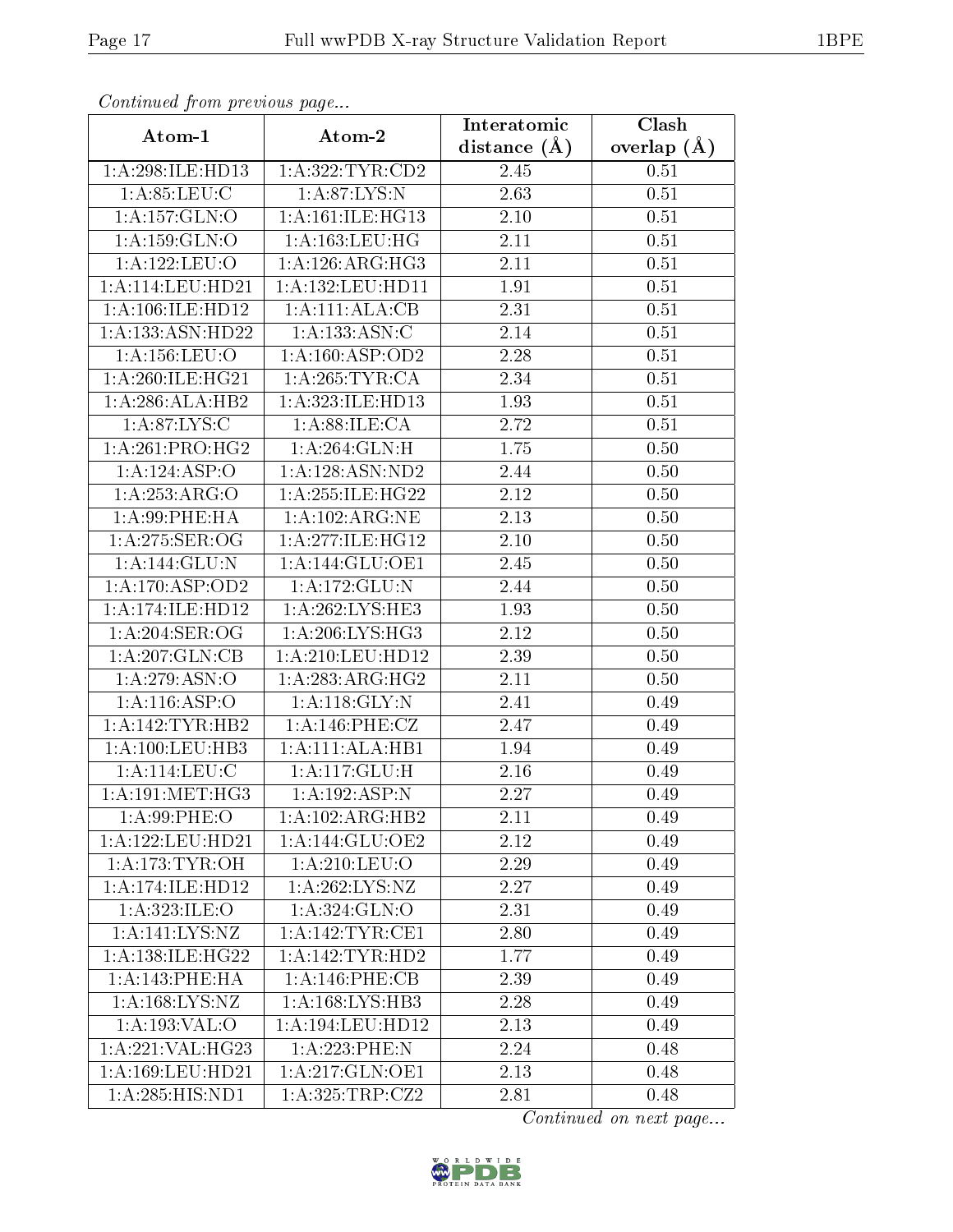| Commaca jibin previous page<br>Clash<br>Interatomic |                      |                   |               |  |
|-----------------------------------------------------|----------------------|-------------------|---------------|--|
| Atom-1                                              | Atom-2               | distance $(A)$    | overlap $(A)$ |  |
| 1:A:298:ILE:HD13                                    | 1:A:322:TYR:CD2      | 2.45              | 0.51          |  |
| 1:A:85:LEU:C                                        | 1: A:87: LYS: N      | 2.63              | 0.51          |  |
| 1:A:157:GLN:O                                       | 1: A:161: ILE: HG13  | 2.10              | 0.51          |  |
| 1: A: 159: GLN:O                                    | 1: A: 163: LEU: HG   | 2.11              | 0.51          |  |
| 1:A:122:LEU:O                                       | 1: A:126: ARG:HG3    | 2.11              | 0.51          |  |
| 1: A:114:LEU:HD21                                   | 1: A: 132: LEU: HD11 | 1.91              | 0.51          |  |
| 1:A:106:ILE:HD12                                    | 1:A:111:ALA:CB       | 2.31              | 0.51          |  |
| 1: A: 133: ASN: HD22                                | 1:A:133:ASN:C        | 2.14              | 0.51          |  |
| 1: A: 156: LEU: O                                   | 1: A: 160: ASP: OD2  | 2.28              | 0.51          |  |
| 1: A:260: ILE: HG21                                 | 1: A:265:TYR:CA      | 2.34              | 0.51          |  |
| 1:A:286:ALA:HB2                                     | 1:A:323:ILE:HD13     | 1.93              | 0.51          |  |
| 1: A:87: LYS:C                                      | 1: A:88: ILE: CA     | 2.72              | 0.51          |  |
| $1:A:261:P\overline{RO:HG2}$                        | 1:A:264:GLN:H        | 1.75              | 0.50          |  |
| 1:A:124:ASP:O                                       | 1:A:128:ASN:ND2      | 2.44              | 0.50          |  |
| 1:A:253:ARG:O                                       | 1:A:255:ILE:HG22     | 2.12              | 0.50          |  |
| 1: A:99: PHE: HA                                    | 1:A:102:ARG:NE       | 2.13              | 0.50          |  |
| 1: A:275: SER:OG                                    | 1:A:277:ILE:HG12     | 2.10              | 0.50          |  |
| 1:A:144:GLU:N                                       | 1: A:144: GLU:OE1    | 2.45              | 0.50          |  |
| 1:A:170:ASP:OD2                                     | 1:A:172:GLU:N        | 2.44              | 0.50          |  |
| 1:A:174:ILE:HD12                                    | 1:A:262:LYS:HE3      | 1.93              | 0.50          |  |
| 1: A:204:SER:OG                                     | 1: A:206: LYS: HG3   | 2.12              | 0.50          |  |
| 1:A:207:GLN:CB                                      | 1:A:210:LEU:HD12     | 2.39              | 0.50          |  |
| 1:A:279:ASN:O                                       | 1: A:283:ARG:HG2     | 2.11              | 0.50          |  |
| 1:A:116:ASP:O                                       | 1: A:118: GLY:N      | 2.41              | 0.49          |  |
| 1:A:142:TYR:HB2                                     | 1:A:146:PHE:CZ       | $\overline{2.47}$ | 0.49          |  |
| 1: A: 100: LEU: HB3                                 | 1:A:111:ALA:HB1      | 1.94              | 0.49          |  |
| 1:A:114:LEU:C                                       | 1:A:117:GLU:H        | 2.16              | 0.49          |  |
| 1: A:191: MET:HG3                                   | 1:A:192:ASP:N        | 2.27              | 0.49          |  |
| 1: A:99: PHE:O                                      | 1:A:102:ARG:HB2      | 2.11              | 0.49          |  |
| 1: A: 122: LEU: HD21                                | 1:A:144:GLU:OE2      | 2.12              | 0.49          |  |
| $1: A:173: TYR. \overline{OH}$                      | 1: A:210:LEU:O       | 2.29              | 0.49          |  |
| 1:A:174:ILE:HD12                                    | 1: A:262:LYS:NZ      | 2.27              | 0.49          |  |
| 1: A:323: ILE: O                                    | 1: A:324: GLN:O      | 2.31              | 0.49          |  |
| 1:A:141:LYS:NZ                                      | 1:A:142:TYR:CE1      | 2.80              | 0.49          |  |
| 1: A: 138: ILE: HG22                                | 1: A: 142: TYR: HD2  | 1.77              | 0.49          |  |
| 1:A:143:PHE:HA                                      | 1:A:146:PHE:CB       | 2.39              | 0.49          |  |
| 1:A:168:LYS:NZ                                      | 1:A:168:LYS:HB3      | 2.28              | 0.49          |  |
| 1:A:193:VAL:O                                       | 1:A:194:LEU:HD12     | 2.13              | 0.49          |  |
| 1:A:221:VAL:HG23                                    | 1:A:223:PHE:N        | 2.24              | 0.48          |  |
| 1:A:169:LEU:HD21                                    | 1:A:217:GLN:OE1      | 2.13              | 0.48          |  |
| 1:A:285:HIS:ND1                                     | 1:A:325:TRP:CZ2      | 2.81              | 0.48          |  |

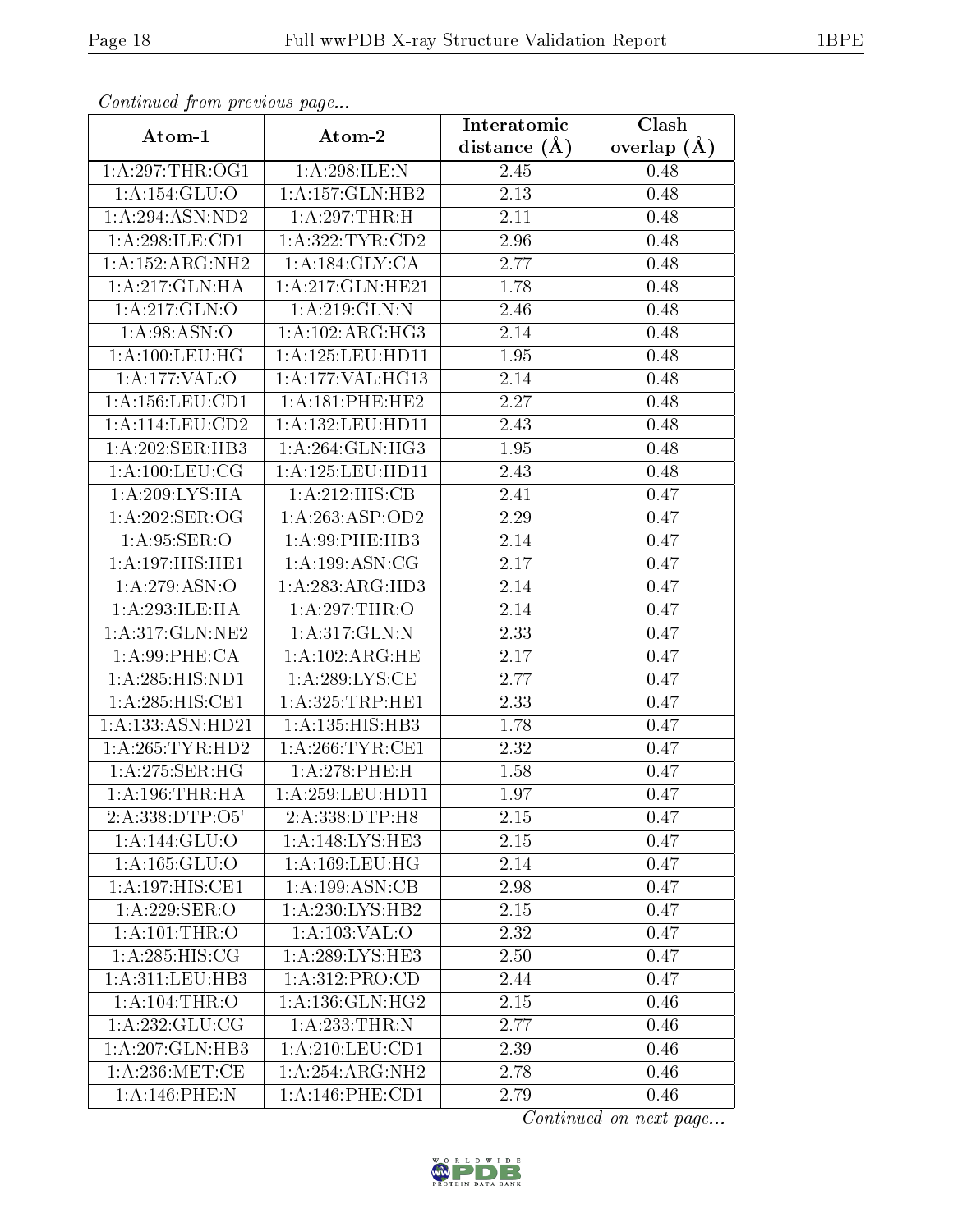| Continuea from previous page                   |                                   | Interatomic       | $\overline{\text{Clash}}$ |
|------------------------------------------------|-----------------------------------|-------------------|---------------------------|
| Atom-1                                         | Atom-2                            | distance $(\AA)$  | overlap $(A)$             |
| 1: A:297:THR:OG1                               | 1:A:298:ILE:N                     | 2.45              | 0.48                      |
| 1: A: 154: GLU:O                               | 1:A:157:GLN:HB2                   | 2.13              | 0.48                      |
| 1: A:294: ASN:ND2                              | 1:A:297:THR:H                     | 2.11              | 0.48                      |
| 1:A:298:ILE:CD1                                | 1:A:322:TYR:CD2                   | 2.96              | 0.48                      |
| 1:A:152:ARG:NH2                                | 1:A:184:GLY:CA                    | 2.77              | 0.48                      |
| 1:A:217:GLN:HA                                 | 1:A:217:GLN:HE21                  | 1.78              | 0.48                      |
| 1:A:217:GLN:O                                  | 1:A:219:GLN:N                     | $\overline{2.46}$ | 0.48                      |
| 1: A:98: ASN:O                                 | 1:A:102:ARG:HG3                   | 2.14              | 0.48                      |
| 1: A: 100: LEU: HG                             | 1:A:125:LEU:HDI1                  | 1.95              | 0.48                      |
| 1:A:177:VAL:O                                  | 1:A:177:VAL:HG13                  | 2.14              | 0.48                      |
| 1: A: 156: LEU: CD1                            | 1:A:181:PHE:HE2                   | 2.27              | 0.48                      |
| $1:A:114:\overline{\textrm{LEU}:\textrm{CD2}}$ | 1: A: 132: LEU: HD11              | 2.43              | 0.48                      |
| 1:A:202:SER:HB3                                | 1:A:264:GLN:HG3                   | 1.95              | 0.48                      |
| 1: A:100:LEU:CG                                | 1:A:125:LEU:HD11                  | 2.43              | 0.48                      |
| 1:A:209:LYS:HA                                 | 1:A:212:HIS:CB                    | 2.41              | 0.47                      |
| 1:A:202:SER:OG                                 | 1: A:263:ASP:OD2                  | 2.29              | 0.47                      |
| 1: A:95: SER:O                                 | 1:A:99:PHE:HB3                    | 2.14              | 0.47                      |
| 1:A:197:HIS:HE1                                | 1: A: 199: ASN: CG                | 2.17              | 0.47                      |
| 1:A:279:ASN:O                                  | 1:A:283:ARG:HD3                   | 2.14              | 0.47                      |
| 1: A:293: ILE: HA                              | 1:A:297:THR:O                     | 2.14              | 0.47                      |
| 1:A:317:GLN:NE2                                | 1:A:317:GLN:N                     | 2.33              | 0.47                      |
| 1:A:99:PHE:CA                                  | 1:A:102:ARG:HE                    | 2.17              | 0.47                      |
| 1:A:285:HIS:ND1                                | 1: A:289:LYS:CE                   | 2.77              | 0.47                      |
| 1: A:285: HIS: CE1                             | 1: A:325:TRP:HE1                  | 2.33              | 0.47                      |
| 1:A:133:ASN:HD21                               | 1:A:135:HIS:HB3                   | 1.78              | 0.47                      |
| 1: A:265:TYR:HD2                               | 1: A:266:TYR:CE1                  | $\overline{2}.32$ | 0.47                      |
| 1: A:275: SER:HG                               | 1:A:278:PHE:H                     | 1.58              | 0.47                      |
| 1: A:196:THR:HA                                | 1: A:259:LEU:HD11                 | 1.97              | 0.47                      |
| 2:A:338:DTP:O5'                                | 2:A:338:DTP:H8                    | 2.15              | 0.47                      |
| 1:A:144:GLU:O                                  | 1: A:148: LYS: HE3                | 2.15              | 0.47                      |
| 1: A: 165: GLU: O                              | 1: A: 169: LEU: HG                | 2.14              | 0.47                      |
| 1: A: 197: HIS: CE1                            | 1:A:199:ASN:CB                    | 2.98              | 0.47                      |
| $1:A:229:\overline{\text{SER:O}}$              | 1:A:230:LYS:HB2                   | 2.15              | 0.47                      |
| 1:A:101:THR:O                                  | 1:A:103:VAL:O                     | 2.32              | 0.47                      |
| 1: A:285: HIS: CG                              | 1: A:289:LYS:HE3                  | 2.50              | 0.47                      |
| 1: A:311: LEU:HB3                              | 1: A:312: PRO:CD                  | 2.44              | 0.47                      |
| 1: A: 104: THEN: O                             | 1: A: 136: GLN: HG2               | 2.15              | 0.46                      |
| 1: A: 232: GLU: CG                             | $1:A:233:\overline{\text{THR}:N}$ | 2.77              | 0.46                      |
| 1:A:207:GLN:HB3                                | 1: A:210:LEU:CD1                  | 2.39              | 0.46                      |
| 1: A:236: MET:CE                               | 1:A:254:ARG:NH2                   | 2.78              | 0.46                      |
| $1: A:146:$ PHE:N                              | 1: A:146:PHE:CD1                  | 2.79              | 0.46                      |

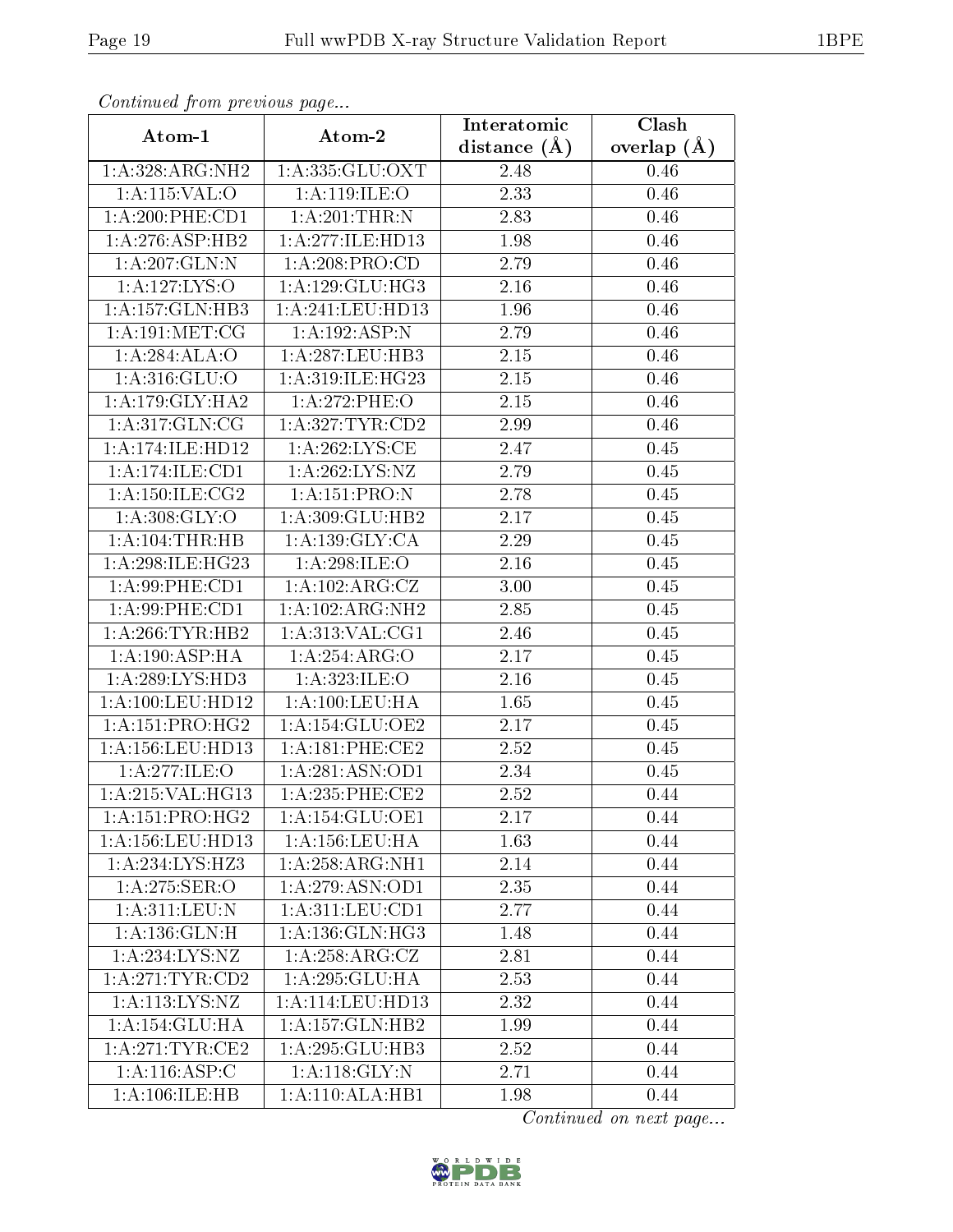| Continuea jioin pievivus page |                     | Interatomic       | Clash         |
|-------------------------------|---------------------|-------------------|---------------|
| Atom-1                        | Atom-2              | distance $(A)$    | overlap $(A)$ |
| 1:A:328:ARG:NH2               | 1: A: 335: GLU: OXT | 2.48              | 0.46          |
| 1: A:115: VAL:O               | 1: A:119: ILE: O    | 2.33              | 0.46          |
| 1:A:200:PHE:CD1               | 1:A:201:THR:N       | 2.83              | 0.46          |
| 1: A:276: ASP:HB2             | 1:A:277:ILE:HD13    | 1.98              | 0.46          |
| 1: A:207: GLN:N               | 1: A:208:PRO:CD     | 2.79              | 0.46          |
| 1:A:127:LYS:O                 | 1:A:129:GLU:HG3     | 2.16              | 0.46          |
| 1:A:157:GLN:HB3               | 1:A:241:LEU:HD13    | 1.96              | 0.46          |
| 1: A:191: MET:CG              | 1:A:192:ASP:N       | 2.79              | 0.46          |
| 1:A:284:ALA:O                 | 1:A:287:LEU:HB3     | 2.15              | 0.46          |
| 1:A:316:GLU:O                 | 1:A:319:ILE:HG23    | 2.15              | 0.46          |
| 1: A:179: GLY: HA2            | 1: A:272:PHE:O      | 2.15              | 0.46          |
| 1:A:317:GLN:CG                | 1:A:327:TYR:CD2     | 2.99              | 0.46          |
| 1:A:174:ILE:HD12              | 1: A:262:LYS:CE     | 2.47              | 0.45          |
| 1:A:174:ILE:CD1               | 1: A:262:LYS:NZ     | 2.79              | 0.45          |
| 1: A:150: ILE: CG2            | 1:A:151:PRO:N       | 2.78              | 0.45          |
| 1: A:308: GLY:O               | 1:A:309:GLU:HB2     | 2.17              | 0.45          |
| $1:A:104$ : THR: HB           | 1:A:139:GLY:CA      | $\overline{2.29}$ | 0.45          |
| 1: A:298: ILE: HG23           | 1:A:298:ILE:O       | 2.16              | 0.45          |
| 1:A:99:PHE:CD1                | 1:A:102:ARG:CZ      | 3.00              | 0.45          |
| 1: A:99:PHE:CD1               | 1:A:102:ARG:NH2     | 2.85              | 0.45          |
| 1:A:266:TYR:HB2               | 1: A:313: VAL:CG1   | 2.46              | 0.45          |
| 1: A: 190: ASP: HA            | 1:A:254:ARG:O       | 2.17              | 0.45          |
| 1:A:289:LYS:HD3               | 1: A:323: ILE: O    | 2.16              | 0.45          |
| 1: A:100:LEU:HD12             | 1: A: 100: LEU: HA  | 1.65              | 0.45          |
| 1: A:151: PRO:HG2             | 1:A:154:GLU:OE2     | 2.17              | 0.45          |
| 1: A: 156: LEU: HD13          | 1: A:181: PHE:CE2   | 2.52              | 0.45          |
| 1: A:277: ILE: O              | 1: A:281: ASN:OD1   | 2.34              | 0.45          |
| 1:A:215:VAL:HG13              | $1: A:235:$ PHE:CE2 | 2.52              | 0.44          |
| 1: A:151: PRO:HG2             | 1:A:154:GLU:OE1     | 2.17              | 0.44          |
| 1: A: 156: LEU: HD13          | $1: A: 156:$ LEU:HA | 1.63              | 0.44          |
| 1: A:234: LYS:HZ3             | 1:A:258:ARG:NH1     | 2.14              | 0.44          |
| 1: A:275: SER:O               | 1: A:279: ASN:OD1   | 2.35              | 0.44          |
| 1:A:311:LEU:N                 | 1: A:311:LEV:CD1    | 2.77              | 0.44          |
| 1: A: 136: GLN:H              | 1:A:136:GLN:HG3     | 1.48              | 0.44          |
| 1:A:234:LYS:NZ                | 1: A:258: ARG: CZ   | 2.81              | 0.44          |
| 1: A:271:TYR:CD2              | 1:A:295:GLU:HA      | 2.53              | 0.44          |
| 1: A: 113: LYS: NZ            | 1:A:114:LEU:HD13    | 2.32              | 0.44          |
| 1:A:154:GLU:HA                | 1: A: 157: GLN: HB2 | 1.99              | 0.44          |
| 1: A:271:TYR:CE2              | 1:A:295:GLU:HB3     | 2.52              | 0.44          |
| 1: A:116: ASP:C               | 1:A:118:GLY:N       | 2.71              | 0.44          |
| 1:A:106:ILE:HB                | 1:A:110:ALA:HB1     | 1.98              | 0.44          |

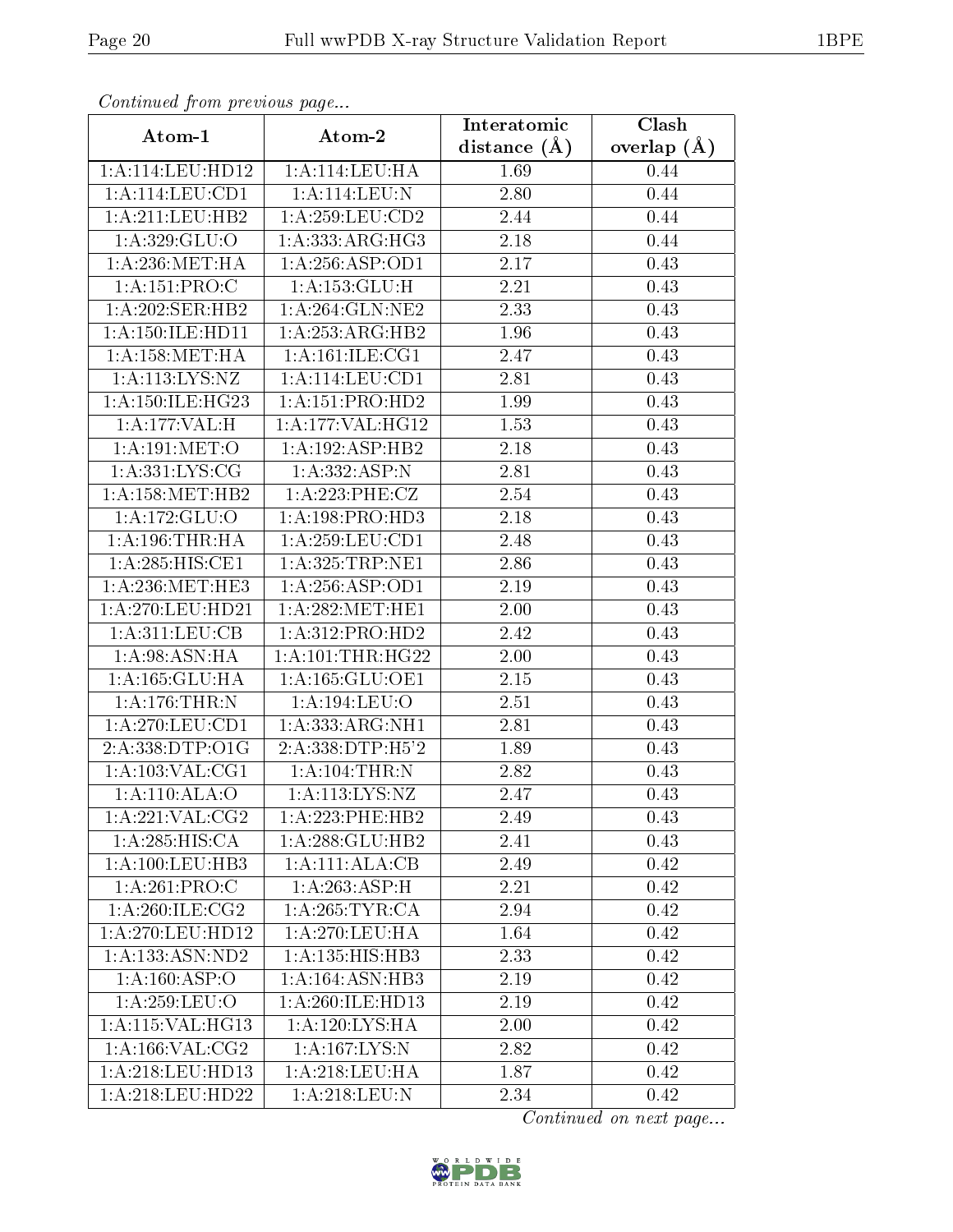| Communa from previous page   |                              | Interatomic      | Clash         |
|------------------------------|------------------------------|------------------|---------------|
| Atom-1                       | Atom-2                       | distance $(\AA)$ | overlap $(A)$ |
| 1:A:114:LEU:HD12             | 1:A:114:LEU:HA               | 1.69             | 0.44          |
| 1: A:114: LEU: CD1           | 1:A:114:LEU:N                | 2.80             | 0.44          |
| 1: A:211:LEU:HB2             | 1: A:259:LEU:CD2             | 2.44             | 0.44          |
| 1: A: 329: GLU:O             | 1: A: 333: ARG: HG3          | 2.18             | 0.44          |
| 1: A:236: MET:HA             | 1:A:256:ASP:OD1              | 2.17             | 0.43          |
| 1: A:151: PRO:C              | 1: A: 153: GLU: H            | 2.21             | 0.43          |
| $1:A:\overline{202:SER:HB2}$ | $1:A:26\overline{4:GLN:NE2}$ | 2.33             | 0.43          |
| 1: A: 150: ILE: HD11         | 1:A:253:ARG:HB2              | 1.96             | 0.43          |
| 1: A: 158: MET: HA           | 1: A:161: ILE: CG1           | 2.47             | 0.43          |
| 1: A: 113: LYS: NZ           | 1:A:114:LEU:CD1              | 2.81             | 0.43          |
| 1: A: 150: ILE: HG23         | 1: A: 151: PRO: HD2          | 1.99             | 0.43          |
| 1:A:177:VAL:H                | 1:A:177:VAL:HG12             | 1.53             | 0.43          |
| 1: A:191: MET:O              | 1:A:192:ASP:HB2              | 2.18             | 0.43          |
| 1: A: 331: LYS: CG           | 1: A: 332: ASP:N             | 2.81             | 0.43          |
| 1: A: 158: MET: HB2          | 1: A:223: PHE: CZ            | 2.54             | 0.43          |
| 1:A:172:GLU:O                | 1:A:198:PRO:H <sub>D3</sub>  | 2.18             | 0.43          |
| 1: A:196:THR:HA              | 1: A:259:LEU:CD1             | 2.48             | 0.43          |
| 1: A:285: HIS: CE1           | 1: A:325:TRP:NE1             | 2.86             | 0.43          |
| 1: A:236:MET:HE3             | 1:A:256:ASP:OD1              | 2.19             | 0.43          |
| 1: A:270:LEU:HD21            | 1: A:282:MET:HE1             | 2.00             | 0.43          |
| 1: A:311: LEU: CB            | 1:A:312:PRO:HD2              | 2.42             | 0.43          |
| 1: A:98: ASN: HA             | 1: A: 101:THR: HG22          | 2.00             | 0.43          |
| 1:A:165:GLU:HA               | 1: A: 165: GLU: OE1          | 2.15             | 0.43          |
| 1:A:176:THR:N                | 1:A:194:LEU:O                | 2.51             | 0.43          |
| $1:$ A:270:LEU:CD1           | 1: A: 333:ARG:NH1            | 2.81             | 0.43          |
| 2:A:338:DTP:O1G              | 2:A:338:DTP:H5'2             | 1.89             | 0.43          |
| 1: A: 103: VAL: CG1          | 1: A: 104: THEN: N           | 2.82             | 0.43          |
| 1:A:110:ALA:O                | 1: A: 113: LYS: NZ           | 2.47             | 0.43          |
| 1:A:221:VAL:CG2              | 1:A:223:PHE:HB2              | 2.49             | 0.43          |
| 1:A:285:HIS:CA               | 1:A:288:GLU:HB2              | 2.41             | 0.43          |
| 1: A: 100: LEU: HB3          | 1:A:111:ALA:CB               | 2.49             | 0.42          |
| 1:A:261:PRO:C                | 1:A:263:ASP:H                | 2.21             | 0.42          |
| 1: A:260: ILE: CG2           | 1:A:265:TYR:CA               | 2.94             | 0.42          |
| 1:A:270:LEU:HD12             | 1: A:270:LEU:HA              | 1.64             | 0.42          |
| 1:A:133:ASN:ND2              | 1: A: 135: HIS: HB3          | 2.33             | 0.42          |
| 1:A:160:ASP:O                | 1:A:164:ASN:HB3              | 2.19             | 0.42          |
| 1: A:259:LEU:O               | 1:A:260:ILE:HD13             | 2.19             | 0.42          |
| 1:A:115:VAL:HG13             | 1:A:120:LYS:HA               | 2.00             | 0.42          |
| 1: A: 166: VAL: CG2          | 1: A: 167: LYS: N            | 2.82             | 0.42          |
| 1:A:218:LEU:HD13             | 1:A:218:LEU:HA               | 1.87             | 0.42          |
| 1:A:218:LEU:HD22             | 1: A:218:LEU: N              | 2.34             | 0.42          |

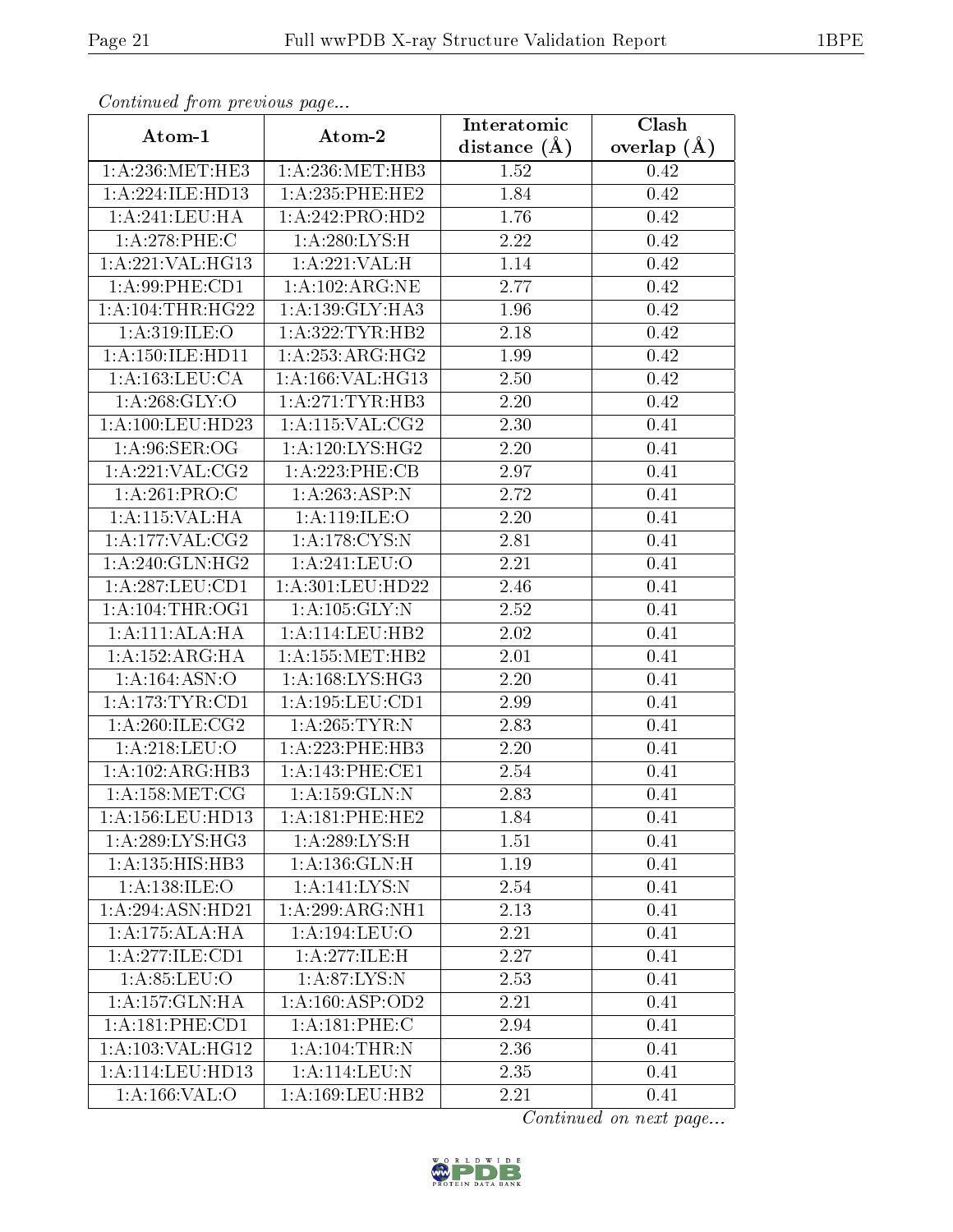| Continuea from previous page<br>Clash<br>Interatomic |                      |                  |               |  |  |  |
|------------------------------------------------------|----------------------|------------------|---------------|--|--|--|
| Atom-1                                               | Atom-2               | distance $(\AA)$ | overlap $(A)$ |  |  |  |
| 1: A:236:MET:HE3                                     | 1: A:236:MET:HB3     | 1.52             |               |  |  |  |
| 1:A:224:ILE:HD13                                     | $1: A: 235:$ PHE:HE2 | 1.84             | 0.42<br>0.42  |  |  |  |
| 1: A:241:LEU:HA                                      | 1:A:242:PRO:HD2      | 1.76             | 0.42          |  |  |  |
| 1:A:278:PHE:C                                        | 1:A:280:LYS:H        | 2.22             | 0.42          |  |  |  |
| 1:A:221:VAL:HG13                                     | 1: A:221:VAL: H      | 1.14             | 0.42          |  |  |  |
| 1:A:99:PHE:CD1                                       | 1:A:102:ARG:NE       | 2.77             | 0.42          |  |  |  |
| 1:A:104:THR:HG22                                     | 1: A: 139: GLY: HA3  | 1.96             | 0.42          |  |  |  |
| 1:A:319:ILE:O                                        | 1: A:322:TYR:HB2     | 2.18             | 0.42          |  |  |  |
| 1: A: 150: ILE: HD11                                 | 1: A:253:ARG:HG2     | 1.99             | 0.42          |  |  |  |
| 1: A: 163: LEU: CA                                   | 1:A:166:VAL:HG13     | 2.50             | 0.42          |  |  |  |
| 1: A:268: GLY:O                                      | 1: A:271:TYR:HB3     | 2.20             | 0.42          |  |  |  |
| 1:A:100:LEU:HD23                                     | 1: A:115: VAL: CG2   | 2.30             | 0.41          |  |  |  |
| 1: A:96: SER:OG                                      | 1: A:120: LYS: HG2   | 2.20             | 0.41          |  |  |  |
| 1:A:221:VAL:CG2                                      | 1:A:223:PHE:CB       | 2.97             | 0.41          |  |  |  |
| 1:A:261:PRO:C                                        | 1:A:263:ASP:N        | 2.72             | 0.41          |  |  |  |
| 1:A:115:VAL:HA                                       | 1: A: 119: ILE: O    | 2.20             | 0.41          |  |  |  |
| 1: A: 177: VAL: CG2                                  | 1: A:178: CYS:N      | 2.81             | 0.41          |  |  |  |
| 1: A:240: GLN: HG2                                   | 1: A:241:LEU:O       | 2.21             | 0.41          |  |  |  |
| 1: A:287: LEU:CD1                                    | 1:A:301:LEU:HD22     | 2.46             | 0.41          |  |  |  |
| 1: A:104:THR:OG1                                     | 1: A: 105: GLY: N    | 2.52             | 0.41          |  |  |  |
| 1:A:111:ALA:H                                        | 1:A:114:LEU:HB2      | 2.02             | 0.41          |  |  |  |
| 1: A: 152: ARG: HA                                   | 1: A: 155: MET: HB2  | 2.01             | 0.41          |  |  |  |
| 1:A:164:ASN:O                                        | 1:A:168:LYS:HG3      | 2.20             | 0.41          |  |  |  |
| 1: A:173: TYR: CD1                                   | 1:A:195:LEU:CD1      | 2.99             | 0.41          |  |  |  |
| 1: A:260: ILE: CG2                                   | 1: A:265:TYR:N       | 2.83             | 0.41          |  |  |  |
| 1: A:218:LEU:O                                       | 1:A:223:PHE:HB3      | 2.20             | 0.41          |  |  |  |
| 1:A:102:ARG:HB3                                      | 1:A:143:PHE:CE1      | 2.54             | 0.41          |  |  |  |
| 1: A: 158:MET:CG                                     | 1: A: 159: GLN:N     | 2.83             | 0.41          |  |  |  |
| 1:A:156:LEU:HD13                                     | 1: A:181:PHE:HE2     | 1.84             | 0.41          |  |  |  |
| 1:A:289:LYS:HG3                                      | 1:A:289:LYS:H        | 1.51             | 0.41          |  |  |  |
| 1:A:135:HIS:HB3                                      | 1:A:136:GLN:H        | 1.19             | 0.41          |  |  |  |
| 1: A: 138: ILE: O                                    | 1:A:141:LYS:N        | 2.54             | 0.41          |  |  |  |
| 1:A:294:ASN:HD21                                     | 1:A:299:ARG:NH1      | 2.13             | 0.41          |  |  |  |
| 1:A:175:ALA:HA                                       | 1: A: 194: LEU: O    | 2.21             | 0.41          |  |  |  |
| 1:A:277:ILE:CD1                                      | 1:A:277:ILE:H        | 2.27             | 0.41          |  |  |  |
| 1: A:85:LEU:O                                        | 1: A:87: LYS: N      | 2.53             | 0.41          |  |  |  |
| 1:A:157:GLN:HA                                       | 1: A: 160: ASP: OD2  | 2.21             | 0.41          |  |  |  |
| $1:A:181:\overline{PHE:CD1}$                         | 1:A:181:PHE:C        | 2.94             | 0.41          |  |  |  |
| 1:A:103:VAL:HG12                                     | 1: A: 104: THEN: N   | 2.36             | 0.41          |  |  |  |
| 1:A:114:LEU:HD13                                     | 1:A:114:LEU:N        | 2.35             | 0.41          |  |  |  |
| 1:A:166:VAL:O                                        | 1: A: 169: LEU: HB2  | 2.21             | 0.41          |  |  |  |

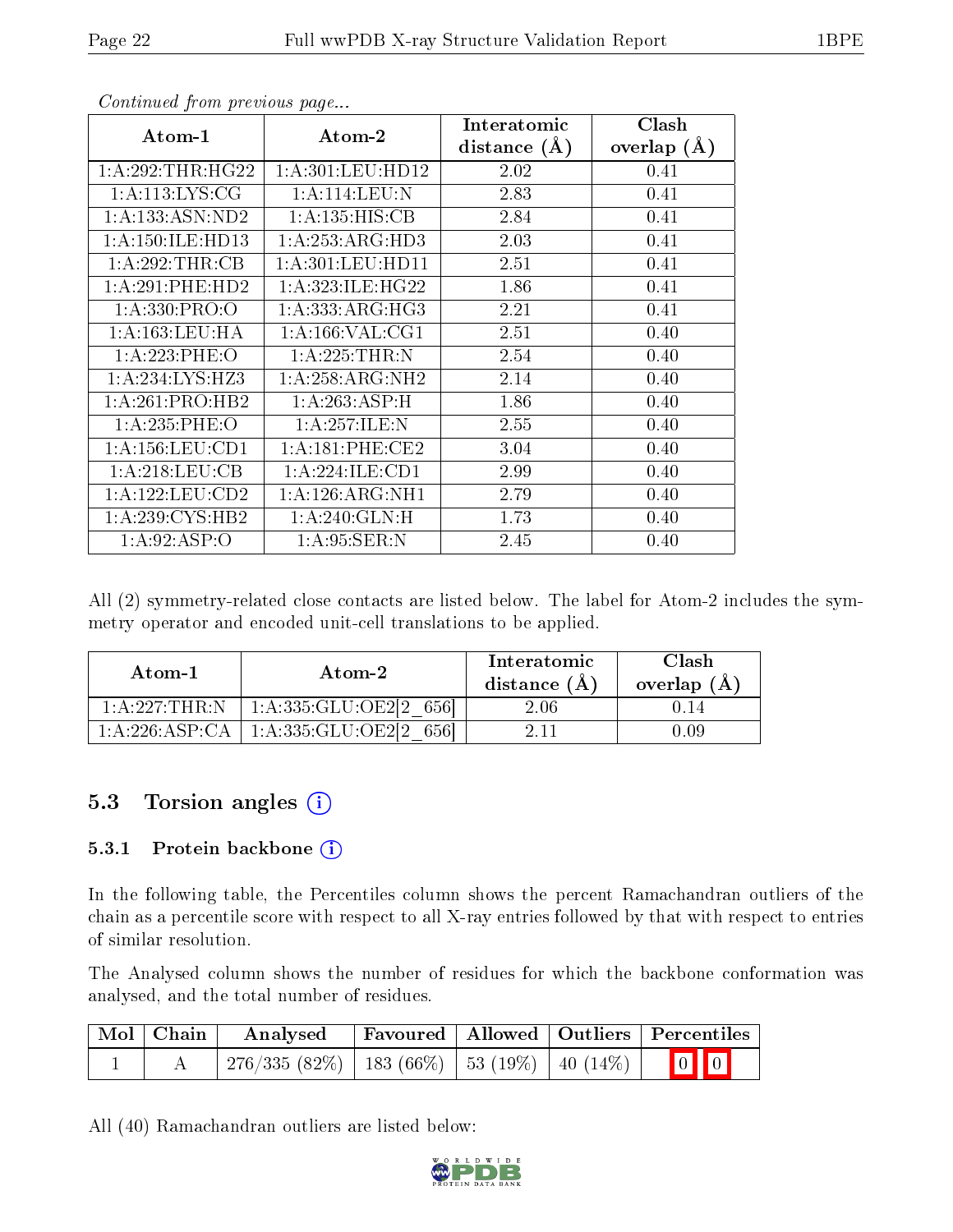| Atom-1              | Atom-2               | Interatomic      | Clash         |
|---------------------|----------------------|------------------|---------------|
|                     |                      | distance $(\AA)$ | overlap $(A)$ |
| 1: A:292:THR:HG22   | 1: A: 301: LEU: HD12 | 2.02             | 0.41          |
| 1: A:113: LYS: CG   | 1: A:114:LEU:N       | 2.83             | 0.41          |
| 1: A: 133: ASN: ND2 | 1:A:135:HIS:CB       | 2.84             | 0.41          |
| 1:A:150:ILE:HD13    | 1:A:253:ARG:HD3      | 2.03             | 0.41          |
| 1:A:292:THR:CB      | 1: A: 301: LEU: HD11 | 2.51             | 0.41          |
| 1:A:291:PHE:HD2     | 1: A:323: ILE: HG22  | 1.86             | 0.41          |
| 1: A: 330: PRO: O   | 1: A: 333:ARG:HG3    | 2.21             | 0.41          |
| 1: A: 163: LEU: HA  | 1: A: 166: VAL: CG1  | 2.51             | 0.40          |
| 1:A:223:PHE:O       | 1:A:225:THR:N        | 2.54             | 0.40          |
| 1: A:234: LYS: HZ3  | 1:A:258:ARG:NH2      | 2.14             | 0.40          |
| 1:A:261:PRO:HB2     | 1:A:263:ASP:H        | 1.86             | 0.40          |
| 1:A:235:PHE:O       | 1:A:257:ILE:N        | 2.55             | 0.40          |
| 1: A: 156: LEU: CD1 | 1: A:181: PHE:CE2    | 3.04             | 0.40          |
| 1: A:218:LEU:CB     | 1: A:224: ILE: CD1   | 2.99             | 0.40          |
| 1:A:122:LEU:CD2     | 1: A:126: ARG: NH1   | 2.79             | 0.40          |
| 1:A:239:CYS:HB2     | 1:A:240:GLN:H        | 1.73             | 0.40          |
| 1: A:92: ASP:O      | 1: A:95: SER: N      | 2.45             | 0.40          |

All (2) symmetry-related close contacts are listed below. The label for Atom-2 includes the symmetry operator and encoded unit-cell translations to be applied.

| Atom-1             | Atom-2                          | Interatomic<br>distance $(A)$ | Clash<br>overlap (A |
|--------------------|---------------------------------|-------------------------------|---------------------|
| 1: A :227: THR : N | 1: A: 335: GLU: OE2[2]<br>-6561 | $2.06\,$                      |                     |
| 1 A 226 ASP CA     | 1: A: 335: GLU: OE2[2]<br>6561  |                               |                     |

## 5.3 Torsion angles (i)

#### 5.3.1 Protein backbone (i)

In the following table, the Percentiles column shows the percent Ramachandran outliers of the chain as a percentile score with respect to all X-ray entries followed by that with respect to entries of similar resolution.

The Analysed column shows the number of residues for which the backbone conformation was analysed, and the total number of residues.

| Mol   Chain | Analysed                                             |  | Favoured   Allowed   Outliers   Percentiles |
|-------------|------------------------------------------------------|--|---------------------------------------------|
|             | $276/335(82\%)$   183 (66\%)   53 (19\%)   40 (14\%) |  | $\boxed{0}$ $\boxed{0}$                     |

All (40) Ramachandran outliers are listed below:

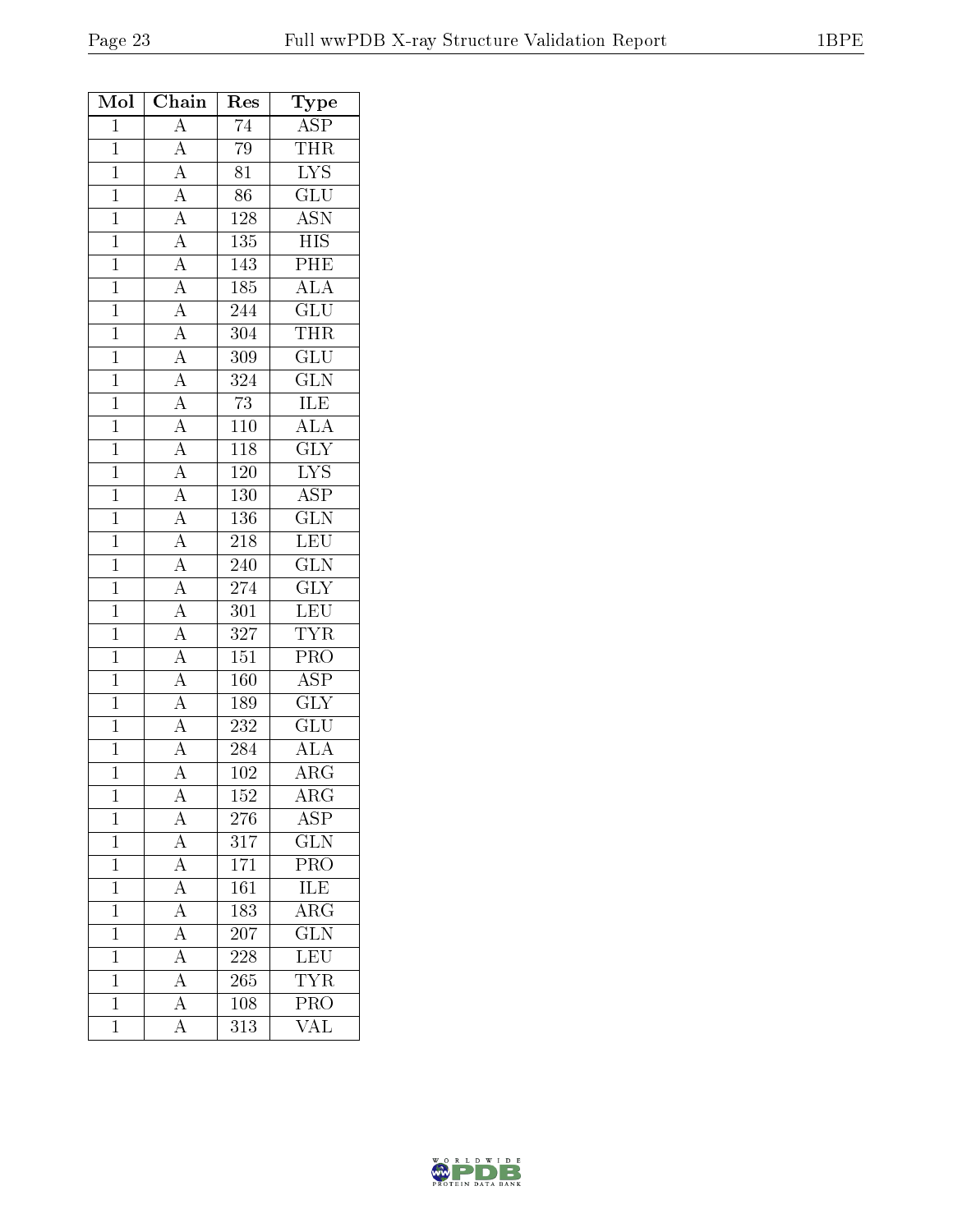| Mol            | Chain                                                                                                                                           | Res              | Type                                       |
|----------------|-------------------------------------------------------------------------------------------------------------------------------------------------|------------------|--------------------------------------------|
| $\mathbf{1}$   | $\overline{A}$                                                                                                                                  | $\overline{74}$  | <b>ASP</b>                                 |
| $\mathbf{1}$   | $\overline{A}$                                                                                                                                  | 79               | THR                                        |
| $\overline{1}$ | $\overline{A}$                                                                                                                                  | $\overline{81}$  | $\overline{\text{LYS}}$                    |
| $\mathbf{1}$   | $\overline{A}$                                                                                                                                  | $\overline{86}$  | $\overline{{\rm GLU}}$                     |
| $\mathbf{1}$   |                                                                                                                                                 | $128\,$          | <b>ASN</b>                                 |
| $\overline{1}$ |                                                                                                                                                 | $\overline{135}$ | $\overline{HIS}$                           |
| $\overline{1}$ |                                                                                                                                                 | $\overline{143}$ | PHE                                        |
| $\mathbf{1}$   |                                                                                                                                                 | 185              | $\overline{\text{ALA}}$                    |
| $\overline{1}$ |                                                                                                                                                 | 244              | $\overline{\text{GLU}}$                    |
| $\mathbf{1}$   | $\frac{\overline{A}}{\overline{A}}$ $\frac{\overline{A}}{\overline{A}}$ $\frac{\overline{A}}{\overline{A}}$ $\frac{\overline{A}}{\overline{A}}$ | 304              | $\overline{\text{THR}}$                    |
| $\overline{1}$ |                                                                                                                                                 | $\overline{309}$ | $\overline{\text{GLU}}$                    |
| $\overline{1}$ |                                                                                                                                                 | 324              | <b>GLN</b>                                 |
| $\overline{1}$ | $\frac{\overline{A}}{\overline{A}}$ $\frac{\overline{A}}{\overline{A}}$ $\frac{\overline{A}}{\overline{A}}$ $\frac{\overline{A}}{\overline{A}}$ | $\overline{73}$  | <b>ILE</b>                                 |
| $\overline{1}$ |                                                                                                                                                 | <b>110</b>       | $\frac{\overline{\text{ALA}}}{\text{GIY}}$ |
| $\mathbf{1}$   |                                                                                                                                                 | 118              |                                            |
| $\overline{1}$ |                                                                                                                                                 | <b>120</b>       | $\frac{\overline{\text{LYS}}}{\text{ASP}}$ |
| $\mathbf{1}$   |                                                                                                                                                 | 130              |                                            |
| $\overline{1}$ |                                                                                                                                                 | 136              | $\overline{\text{GLN}}$                    |
| $\overline{1}$ |                                                                                                                                                 | $\overline{218}$ | LEU                                        |
| $\overline{1}$ |                                                                                                                                                 | 240              | $\overline{\text{GLN}}$                    |
| $\overline{1}$ | $\overline{A}$                                                                                                                                  | 274              | $\overline{\text{GLY}}$                    |
| $\overline{1}$ | $\frac{\overline{A}}{\overline{A}}$                                                                                                             | $301\,$          | LEU                                        |
| $\overline{1}$ |                                                                                                                                                 | $\overline{327}$ | <b>TYR</b>                                 |
| $\mathbf{1}$   |                                                                                                                                                 | 151              | PRO                                        |
| $\mathbf{1}$   | $\overline{A}$                                                                                                                                  | 160              | <b>ASP</b>                                 |
| $\overline{1}$ | $\frac{\overline{A}}{\overline{A}}$                                                                                                             | 189              | $\overline{\text{GLY}}$                    |
| $\mathbf{1}$   |                                                                                                                                                 | 232              | $\overline{\text{GLU}}$                    |
| $\overline{1}$ |                                                                                                                                                 | 284              | $\overline{\rm ALA}$                       |
| $\mathbf{1}$   | $\overline{A}$                                                                                                                                  | 102              | $\rm \bar{A}RG$                            |
| 1              | А                                                                                                                                               | 152              | $\rm{ARG}$                                 |
| $\mathbf 1$    | $\overline{\rm A}$                                                                                                                              | 276              | $\overline{\text{ASP}}$                    |
| $\mathbf 1$    | $\overline{A}$                                                                                                                                  | 317              | $\overline{\text{GLN}}$                    |
| $\mathbf 1$    | $\frac{\overline{A}}{A}$                                                                                                                        | 171              | $\overline{\text{PRO}}$                    |
| $\mathbf 1$    |                                                                                                                                                 | 161              | <b>ILE</b>                                 |
| $\mathbf 1$    | $\overline{A}$                                                                                                                                  | 183              | $\overline{\text{ARG}}$                    |
| $\mathbf 1$    | $\overline{A}$                                                                                                                                  | 207              | $\overline{\text{GLN}}$                    |
| $\mathbf{1}$   | $\overline{A}$                                                                                                                                  | 228              | LEU                                        |
| $\overline{1}$ | $\overline{A}$                                                                                                                                  | 265              | <b>TYR</b>                                 |
| $\mathbf{1}$   | $\overline{A}$                                                                                                                                  | 108              | PRO                                        |
| $\mathbf 1$    | $\overline{\rm A}$                                                                                                                              | 313              | $\overline{\text{VAL}}$                    |

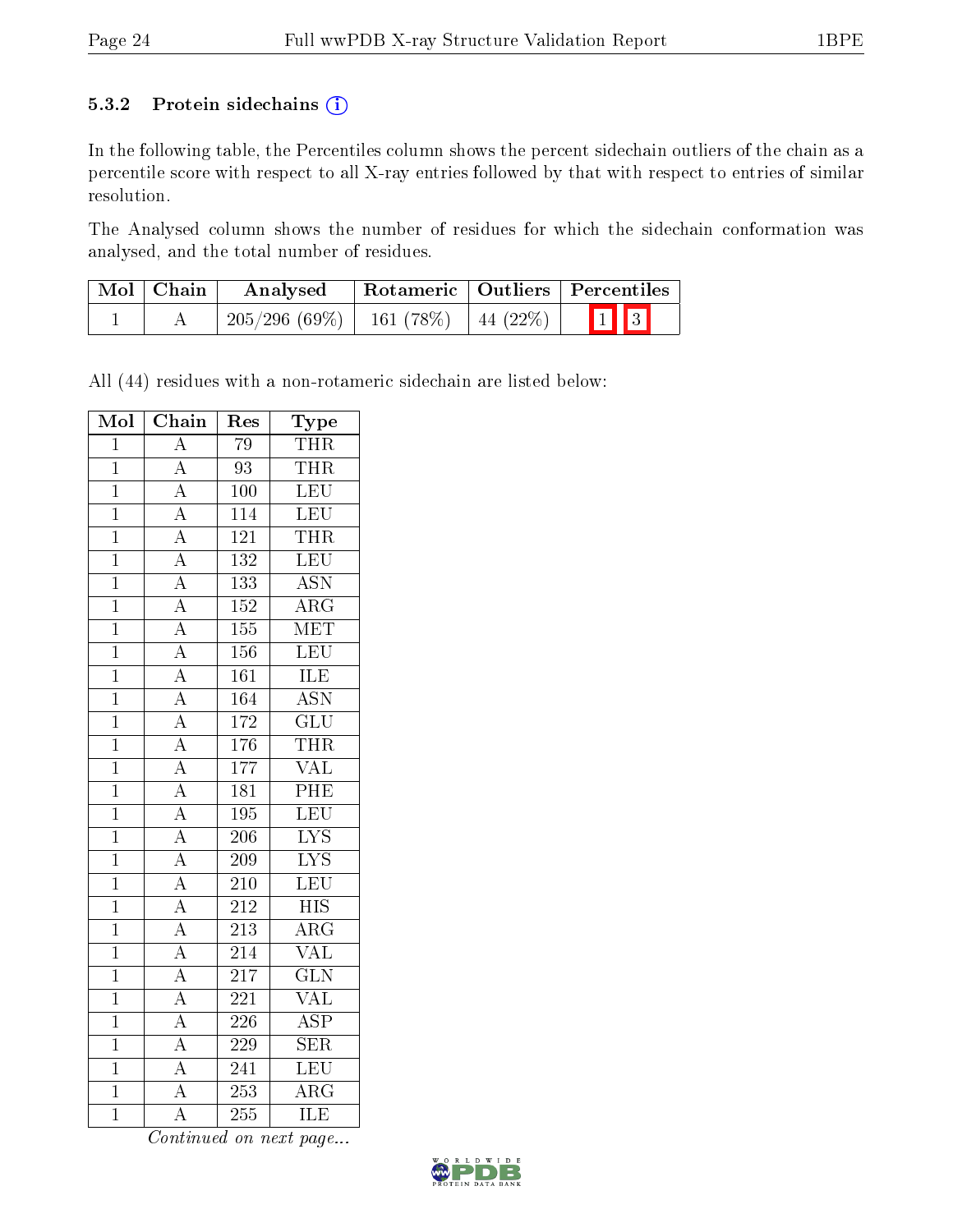#### 5.3.2 Protein sidechains (i)

In the following table, the Percentiles column shows the percent sidechain outliers of the chain as a percentile score with respect to all X-ray entries followed by that with respect to entries of similar resolution.

The Analysed column shows the number of residues for which the sidechain conformation was analysed, and the total number of residues.

| Mol   Chain | Analysed                                  |  | $\mid$ Rotameric $\mid$ Outliers $\mid$ Percentiles |
|-------------|-------------------------------------------|--|-----------------------------------------------------|
|             | $205/296$ (69\%)   161 (78\%)   44 (22\%) |  | $\boxed{1}$ $\boxed{3}$                             |

All (44) residues with a non-rotameric sidechain are listed below:

| Mol            | $\overline{\text{Chain}}$           | Res              | Type                      |
|----------------|-------------------------------------|------------------|---------------------------|
| $\overline{1}$ | $\overline{\rm A}$                  | $\overline{79}$  | THR                       |
| $\overline{1}$ | $\overline{A}$                      | $\overline{93}$  | <b>THR</b>                |
| $\overline{1}$ | $\overline{A}$                      | 100              | LEU                       |
| $\overline{1}$ | $\overline{A}$                      | $\overline{114}$ | LEU                       |
| $\mathbf 1$    | $\overline{A}$                      | $\overline{121}$ | <b>THR</b>                |
| $\mathbf{1}$   | $\overline{A}$                      | 132              | <b>LEU</b>                |
| $\overline{1}$ |                                     | 133              | <b>ASN</b>                |
| $\overline{1}$ | $\frac{\overline{A}}{\overline{A}}$ | 152              | $\overline{\rm{ARG}}$     |
| $\mathbf{1}$   | $\frac{\overline{A}}{\overline{A}}$ | 155              | MET                       |
| $\overline{1}$ |                                     | 156              | LEU                       |
| $\overline{1}$ | $\frac{\overline{A}}{\overline{A}}$ | $\overline{161}$ | <b>ILE</b>                |
| $\overline{1}$ |                                     | 164              | $\overline{\mathrm{ASN}}$ |
| $\overline{1}$ |                                     | 172              | $\overline{\text{GLU}}$   |
| $\overline{1}$ | $\overline{A}$                      | $\overline{176}$ | <b>THR</b>                |
| $\overline{1}$ | $\overline{A}$                      | 177              | <b>VAL</b>                |
| $\overline{1}$ | $\frac{\overline{A}}{\overline{A}}$ | $\overline{181}$ | PHE                       |
| $\overline{1}$ |                                     | 195              | LEU                       |
| $\overline{1}$ |                                     | $\overline{206}$ | $\overline{\text{LYS}}$   |
| $\mathbf{1}$   | $\overline{A}$                      | 209              | $\overline{\text{LYS}}$   |
| $\overline{1}$ | $\overline{A}$                      | 210              | LEU                       |
| $\mathbf 1$    |                                     | 212              | $\overline{HIS}$          |
| $\overline{1}$ | $\frac{\overline{A}}{\overline{A}}$ | 213              | $\overline{\rm ARG}$      |
| $\overline{1}$ | $\overline{A}$                      | 214              | $\overline{\text{VAL}}$   |
| $\overline{1}$ | $\overline{A}$                      | $\overline{217}$ | $\overline{\text{GLN}}$   |
| $\overline{1}$ | $\overline{A}$                      | 221              | $\overline{\text{VAL}}$   |
| $\mathbf{1}$   | $\overline{A}$                      | 226              | $\overline{\text{ASP}}$   |
| $\overline{1}$ | $\overline{A}$                      | 229              | $\overline{\text{SER}}$   |
| $\overline{1}$ | $\overline{A}$                      | 241              | <b>LEU</b>                |
| $\overline{1}$ | $\overline{A}$                      | 253              | $\overline{\rm{ARG}}$     |
| $\overline{1}$ | A                                   | 255              | $\overline{\text{ILE}}$   |

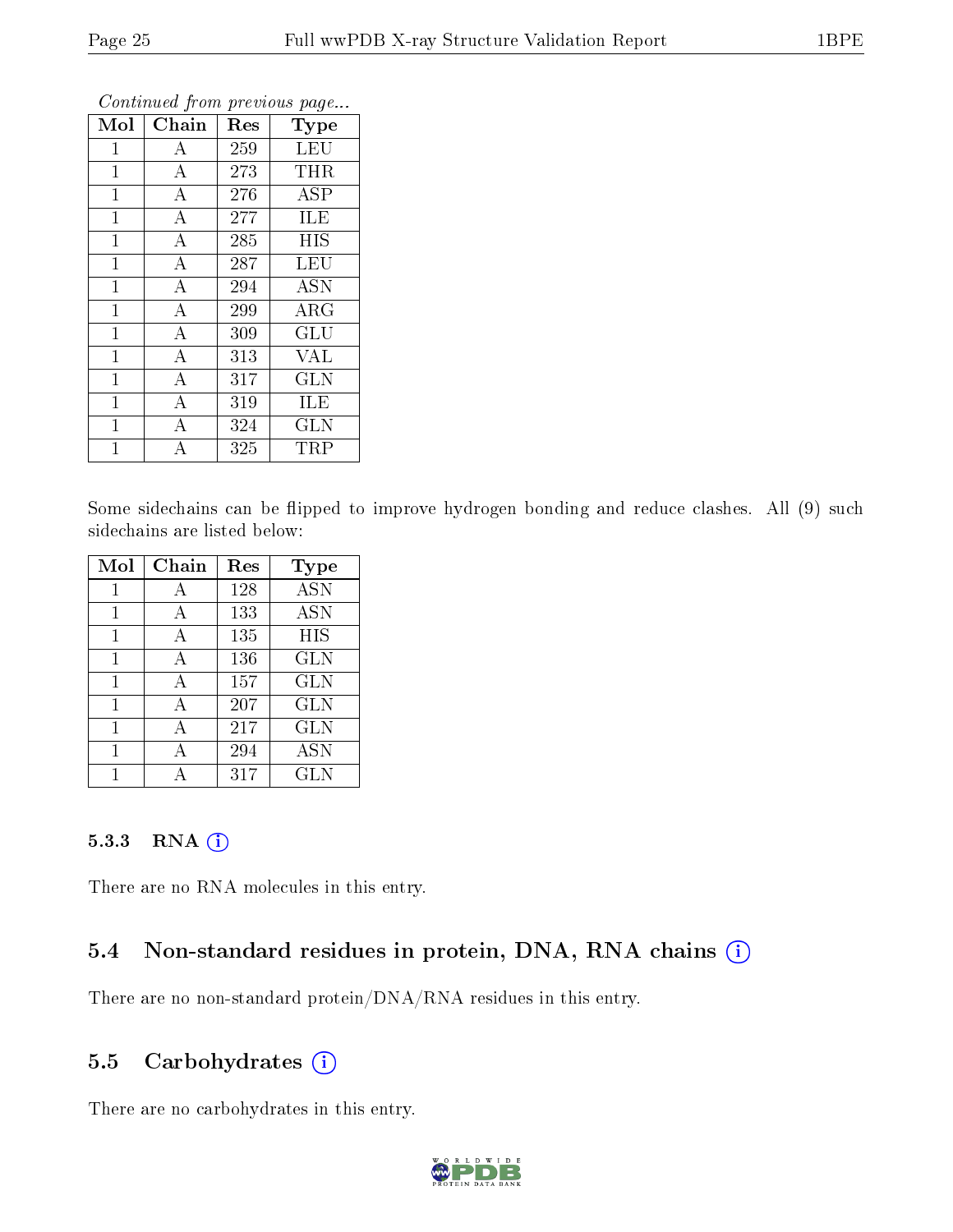| Mol            | Chain              | Res | Type       |
|----------------|--------------------|-----|------------|
| $\mathbf{1}$   | A                  | 259 | <b>LEU</b> |
| $\mathbf{1}$   | $\bf{A}$           | 273 | <b>THR</b> |
| $\mathbf{1}$   | $\boldsymbol{A}$   | 276 | <b>ASP</b> |
| $\mathbf{1}$   | $\boldsymbol{A}$   | 277 | <b>ILE</b> |
| $\mathbf{1}$   | $\bf{A}$           | 285 | <b>HIS</b> |
| $\mathbf 1$    | $\boldsymbol{A}$   | 287 | LEU        |
| $\mathbf{1}$   | $\bf{A}$           | 294 | <b>ASN</b> |
| $\mathbf 1$    | $\overline{\rm A}$ | 299 | $\rm{ARG}$ |
| $\mathbf{1}$   | $\bf{A}$           | 309 | GLU        |
| $\overline{1}$ | $\overline{\rm A}$ | 313 | <b>VAL</b> |
| $\mathbf{1}$   | $\bf{A}$           | 317 | <b>GLN</b> |
| $\mathbf{1}$   | $\overline{\rm A}$ | 319 | ILE        |
| $\overline{1}$ | А                  | 324 | <b>GLN</b> |
| $\overline{1}$ | A                  | 325 | TRP        |

Some sidechains can be flipped to improve hydrogen bonding and reduce clashes. All (9) such sidechains are listed below:

| Mol | Chain | $\operatorname{Res}% \left( \mathcal{N}\right) \equiv\operatorname{Res}(\mathcal{N}_{0})\cap\mathcal{N}_{1}$ | Type       |
|-----|-------|--------------------------------------------------------------------------------------------------------------|------------|
| 1   | А     | 128                                                                                                          | <b>ASN</b> |
|     | А     | 133                                                                                                          | <b>ASN</b> |
|     | А     | 135                                                                                                          | <b>HIS</b> |
| 1   | А     | 136                                                                                                          | <b>GLN</b> |
| 1   | А     | 157                                                                                                          | <b>GLN</b> |
| 1   | А     | 207                                                                                                          | <b>GLN</b> |
|     | А     | 217                                                                                                          | <b>GLN</b> |
|     |       | 294                                                                                                          | <b>ASN</b> |
|     |       | 317                                                                                                          | GLN        |

#### 5.3.3 RNA (i)

There are no RNA molecules in this entry.

#### 5.4 Non-standard residues in protein, DNA, RNA chains  $(i)$

There are no non-standard protein/DNA/RNA residues in this entry.

#### 5.5 Carbohydrates  $(i)$

There are no carbohydrates in this entry.

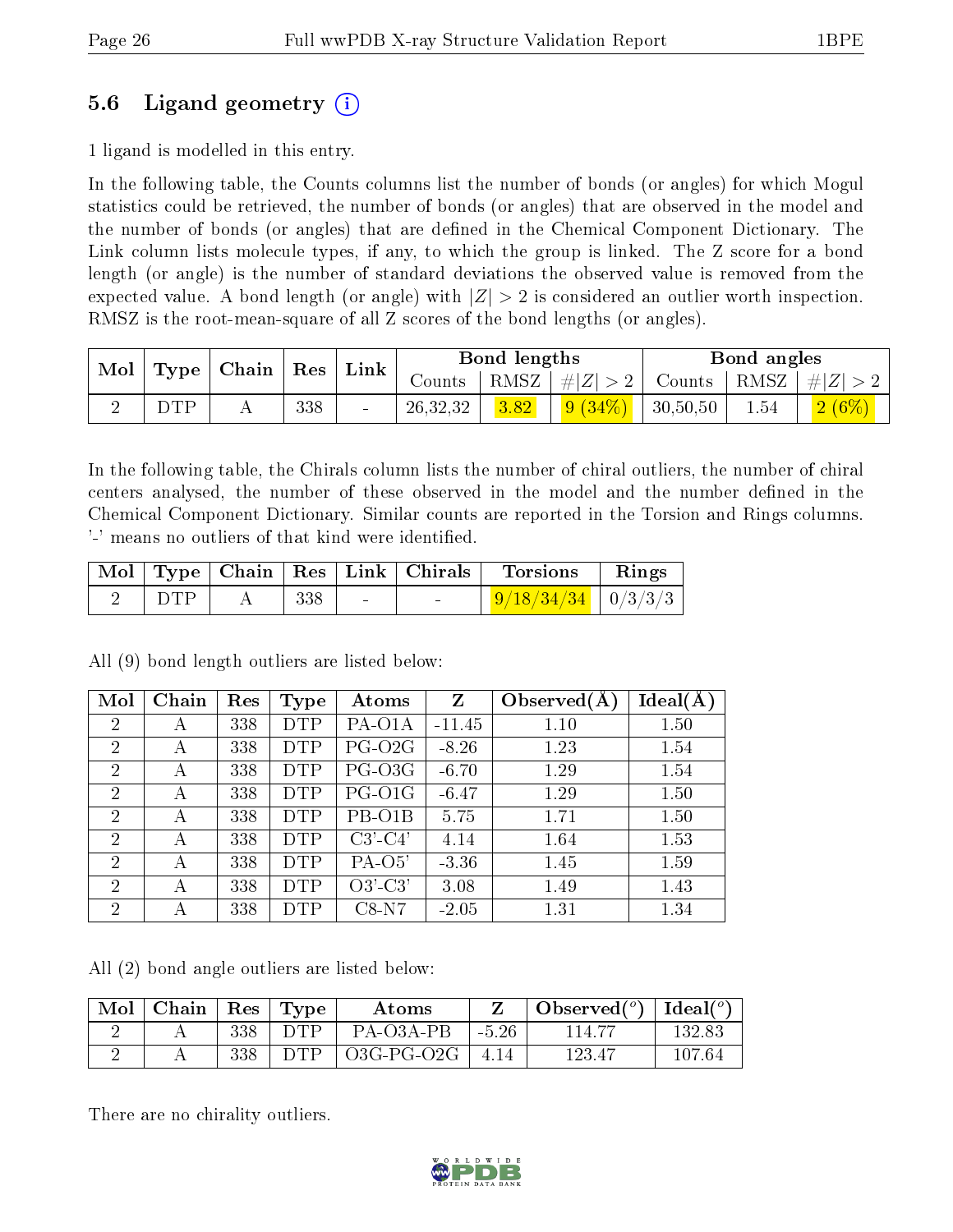### 5.6 Ligand geometry (i)

1 ligand is modelled in this entry.

In the following table, the Counts columns list the number of bonds (or angles) for which Mogul statistics could be retrieved, the number of bonds (or angles) that are observed in the model and the number of bonds (or angles) that are dened in the Chemical Component Dictionary. The Link column lists molecule types, if any, to which the group is linked. The Z score for a bond length (or angle) is the number of standard deviations the observed value is removed from the expected value. A bond length (or angle) with  $|Z| > 2$  is considered an outlier worth inspection. RMSZ is the root-mean-square of all Z scores of the bond lengths (or angles).

| Mol |                 | $\mid$ Type $\mid$ Chain $\mid$ Res $\mid$ |     | <b>Bond lengths</b><br>$^{\shortmid}$ Link |          |                    | Bond angles   |                        |         |          |
|-----|-----------------|--------------------------------------------|-----|--------------------------------------------|----------|--------------------|---------------|------------------------|---------|----------|
|     |                 |                                            |     | Counts                                     |          | RMSZ   $\# Z  > 2$ | Counts   RMSZ |                        | $\# Z $ |          |
|     | $\mathrm{TP}^-$ | . .                                        | 338 | $\blacksquare$                             | 26,32,32 | 3.82               | 9(34%)        | $\mid 30, 50, 50 \mid$ | 1.54    | $2(6\%)$ |

In the following table, the Chirals column lists the number of chiral outliers, the number of chiral centers analysed, the number of these observed in the model and the number defined in the Chemical Component Dictionary. Similar counts are reported in the Torsion and Rings columns. '-' means no outliers of that kind were identified.

|            |        |        | Mol   Type   Chain   Res   Link   Chirals | Torsions                       | $\mathbf{R}$ ings |
|------------|--------|--------|-------------------------------------------|--------------------------------|-------------------|
| $\Box$ DTP | $+338$ | $\sim$ |                                           | $\frac{9}{18/34/34}$   0/3/3/3 |                   |

All (9) bond length outliers are listed below:

| Mol            | Chain | Res | <b>Type</b> | Atoms     | Z        | Observed $(A$ | $Ideal(\AA)$ |
|----------------|-------|-----|-------------|-----------|----------|---------------|--------------|
| $\overline{2}$ | A     | 338 | <b>DTP</b>  | PA-O1A    | $-11.45$ | 1.10          | 1.50         |
| $\overline{2}$ | А     | 338 | <b>DTP</b>  | $PG-O2G$  | $-8.26$  | 1.23          | 1.54         |
| $\overline{2}$ | А     | 338 | <b>DTP</b>  | PG-O3G    | $-6.70$  | 1.29          | 1.54         |
| $\overline{2}$ | А     | 338 | <b>DTP</b>  | PG-O1G    | $-6.47$  | 1.29          | 1.50         |
| $\overline{2}$ | А     | 338 | <b>DTP</b>  | PB-O1B    | 5.75     | 1.71          | 1.50         |
| $\overline{2}$ | А     | 338 | <b>DTP</b>  | $C3'-C4'$ | 4.14     | 1.64          | 1.53         |
| $\overline{2}$ | А     | 338 | <b>DTP</b>  | $PA-O5'$  | $-3.36$  | 1.45          | 1.59         |
| $\overline{2}$ | А     | 338 | <b>DTP</b>  | $O3'-C3'$ | 3.08     | 1.49          | 1.43         |
| $\overline{2}$ | А     | 338 | <b>DTP</b>  | $C8-N7$   | $-2.05$  | 1.31          | 1.34         |

All (2) bond angle outliers are listed below:

| Mol | Chain | $\operatorname{Res}$ | Type       | Atoms      |         | $\lambda$ Observed $(^\circ)$ | Ideal $(^o)$ |
|-----|-------|----------------------|------------|------------|---------|-------------------------------|--------------|
| ∼   |       | 338                  | <b>DTP</b> | PA-O3A-PB  | $-5.26$ | 114 77                        | 132.83       |
| ∼   |       | 338                  | <b>DTP</b> | 03G-PG-02G | -4.14   | 123.47                        | 107.64       |

There are no chirality outliers.

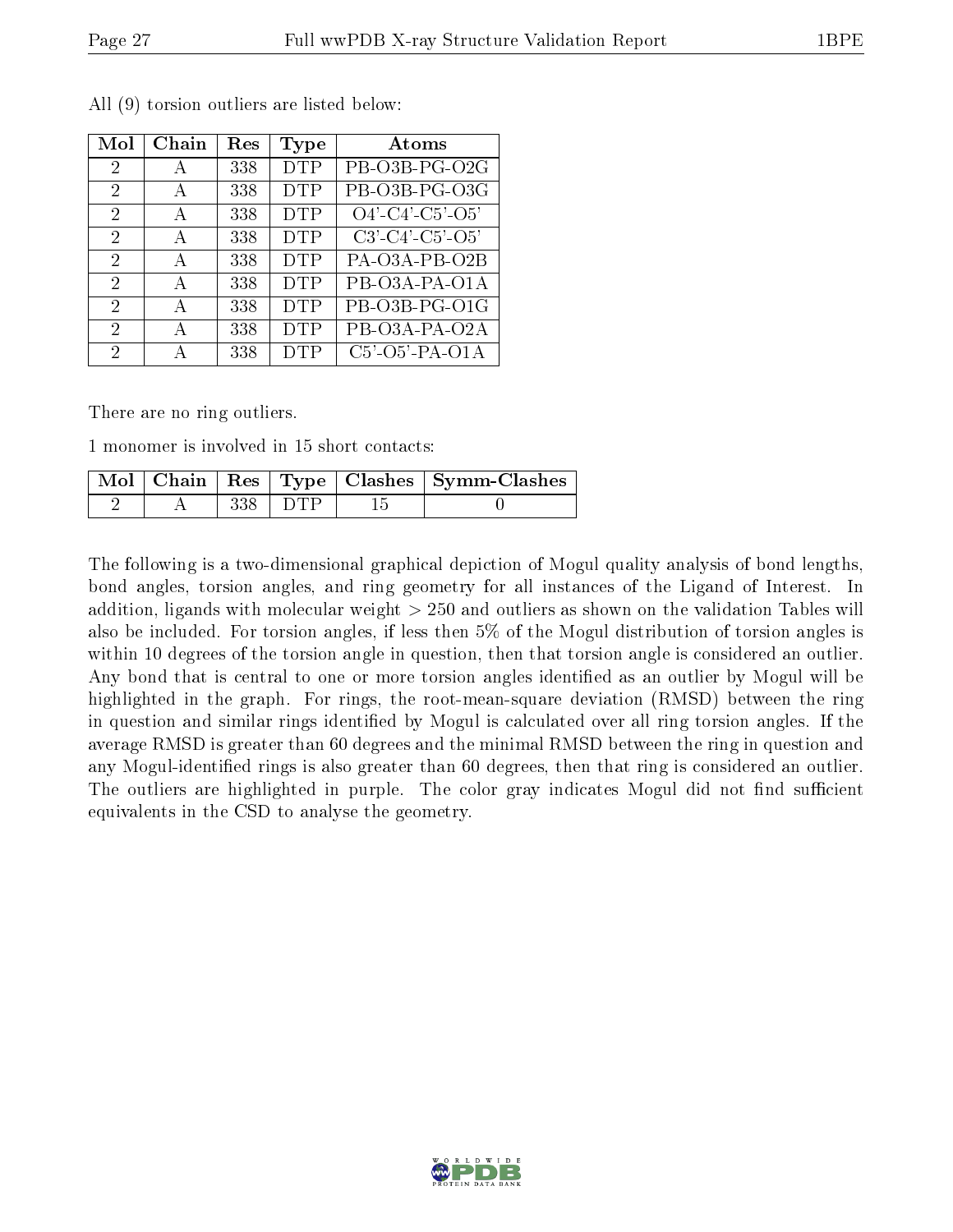| Mol                         | Chain        | $\operatorname{Res}% \left( \mathcal{N}\right) \equiv\operatorname{Res}(\mathcal{N}_{0})\cap\mathcal{N}_{1}$ | Type       | Atoms                         |
|-----------------------------|--------------|--------------------------------------------------------------------------------------------------------------|------------|-------------------------------|
| 2                           | А            | 338                                                                                                          | <b>DTP</b> | PB-O3B-PG-O2G                 |
| $\mathfrak{D}$              | A            | 338                                                                                                          | <b>DTP</b> | PB-O3B-PG-O3G                 |
| 2                           | А            | 338                                                                                                          | <b>DTP</b> | $O4'$ - $C4'$ - $C5'$ - $O5'$ |
| $\mathcal{D}_{\mathcal{A}}$ | A            | 338                                                                                                          | <b>DTP</b> | $C3'$ - $C4'$ - $C5'$ - $O5'$ |
| $\mathcal{D}_{\mathcal{A}}$ | А            | 338                                                                                                          | <b>DTP</b> | PA-O3A-PB-O2B                 |
| 2                           | $\mathbf{A}$ | 338                                                                                                          | <b>DTP</b> | PB-O3A-PA-O1A                 |
| $\mathcal{D}_{\mathcal{A}}$ | А            | 338                                                                                                          | <b>DTP</b> | PB-O3B-PG-O1G                 |
| 2                           | А            | 338                                                                                                          | <b>DTP</b> | PB-O3A-PA-O2A                 |
| 2                           |              | 338                                                                                                          | DTP        | $C5'$ - $O5'$ -PA- $O1A$      |

All (9) torsion outliers are listed below:

There are no ring outliers.

1 monomer is involved in 15 short contacts:

|  |               | Mol   Chain   Res   Type   Clashes   Symm-Clashes |
|--|---------------|---------------------------------------------------|
|  | $338$   $DTP$ |                                                   |

The following is a two-dimensional graphical depiction of Mogul quality analysis of bond lengths, bond angles, torsion angles, and ring geometry for all instances of the Ligand of Interest. In addition, ligands with molecular weight > 250 and outliers as shown on the validation Tables will also be included. For torsion angles, if less then 5% of the Mogul distribution of torsion angles is within 10 degrees of the torsion angle in question, then that torsion angle is considered an outlier. Any bond that is central to one or more torsion angles identified as an outlier by Mogul will be highlighted in the graph. For rings, the root-mean-square deviation (RMSD) between the ring in question and similar rings identified by Mogul is calculated over all ring torsion angles. If the average RMSD is greater than 60 degrees and the minimal RMSD between the ring in question and any Mogul-identified rings is also greater than 60 degrees, then that ring is considered an outlier. The outliers are highlighted in purple. The color gray indicates Mogul did not find sufficient equivalents in the CSD to analyse the geometry.

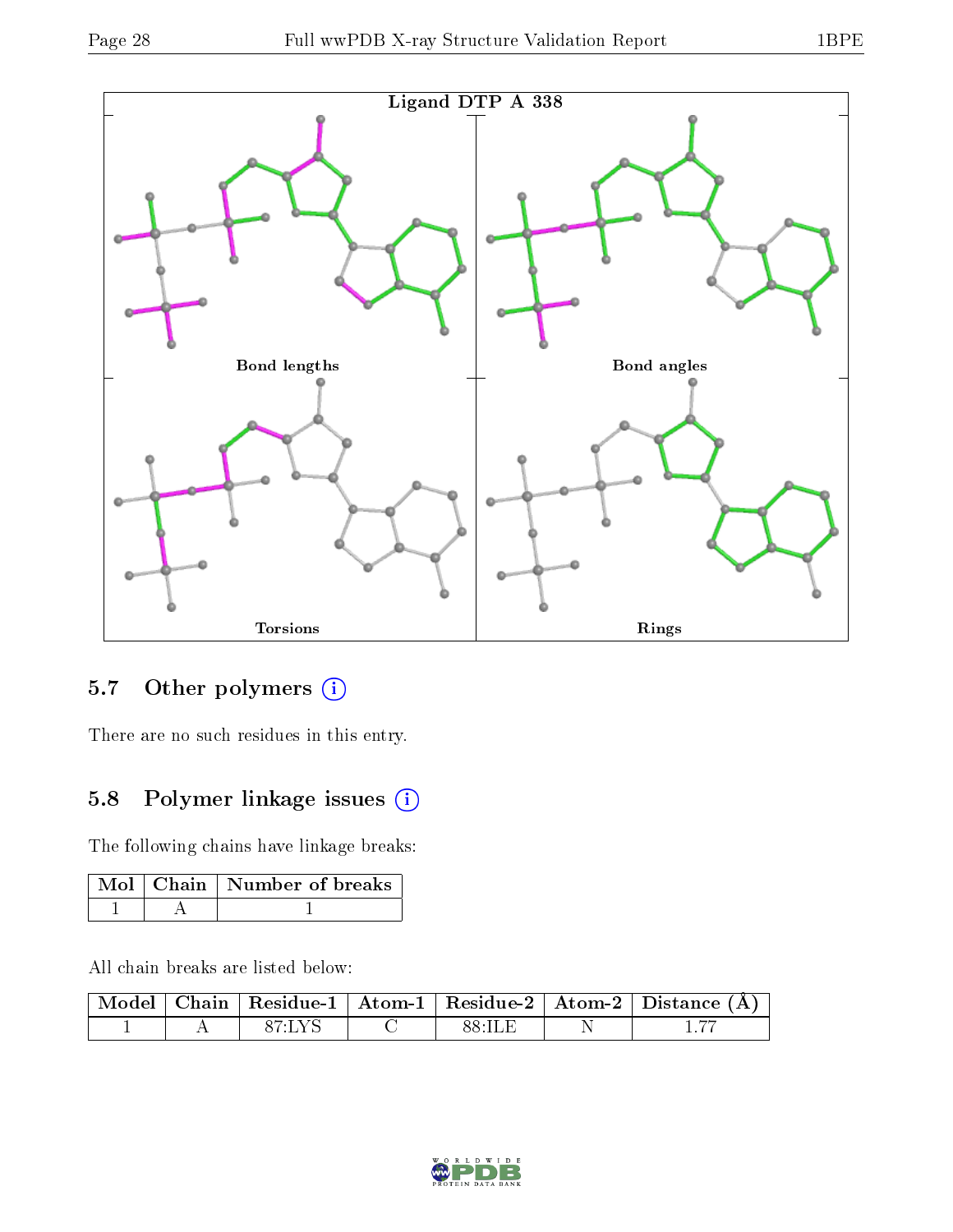

## 5.7 [O](https://www.wwpdb.org/validation/2017/XrayValidationReportHelp#nonstandard_residues_and_ligands)ther polymers (i)

There are no such residues in this entry.

## 5.8 Polymer linkage issues (i)

The following chains have linkage breaks:

|  | Mol   Chain   Number of breaks |
|--|--------------------------------|
|  |                                |

All chain breaks are listed below:

|  |             |  | $\mid$ Model $\mid$ Chain $\mid$ Residue-1 $\mid$ Atom-1 $\mid$ Residue-2 $\mid$ Atom-2 $\mid$ Distance (Å) |
|--|-------------|--|-------------------------------------------------------------------------------------------------------------|
|  | $-87$ T V S |  |                                                                                                             |